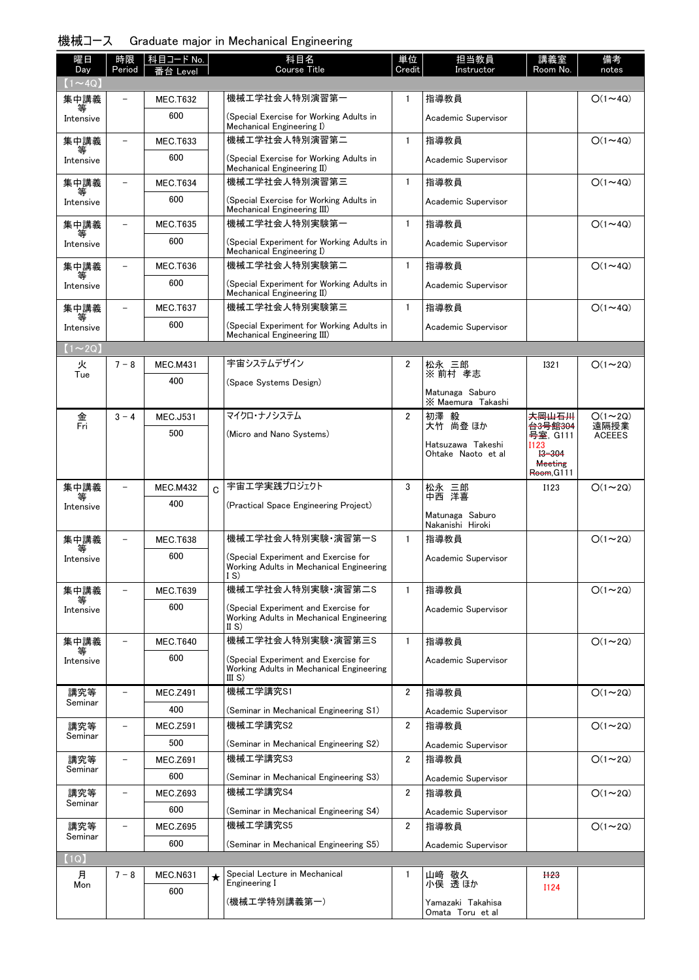|  | 機械コース | . Graduate major in Mechanical Engineering |  |  |  |  |  |
|--|-------|--------------------------------------------|--|--|--|--|--|
|--|-------|--------------------------------------------|--|--|--|--|--|

| 曜日<br>Day                     | 時限<br>Period | 科目コード No.<br>番台 Level |   | 科目名<br><b>Course Title</b>                                                              | 単位<br>Credit            | 担当教員<br>Instructor                    | 講義室<br>Room No.                               | 備考<br>notes            |
|-------------------------------|--------------|-----------------------|---|-----------------------------------------------------------------------------------------|-------------------------|---------------------------------------|-----------------------------------------------|------------------------|
| $(1\mathtt{\sim}4\mathrm{Q})$ |              |                       |   |                                                                                         |                         |                                       |                                               |                        |
| 集中講義                          |              | <b>MEC.T632</b>       |   | 機械工学社会人特別演習第一                                                                           | $\mathbf{1}$            | 指導教員                                  |                                               | $O(1\sim 4Q)$          |
| 等<br>Intensive                |              | 600                   |   | (Special Exercise for Working Adults in<br>Mechanical Engineering I)                    |                         | Academic Supervisor                   |                                               |                        |
| 集中講義                          |              | <b>MEC.T633</b>       |   | 機械工学社会人特別演習第二                                                                           | $\mathbf{1}$            | 指導教員                                  |                                               | $O(1\sim 4Q)$          |
| 等<br>Intensive                |              | 600                   |   | (Special Exercise for Working Adults in<br>Mechanical Engineering II)                   |                         | Academic Supervisor                   |                                               |                        |
| 集中講義                          |              | <b>MEC.T634</b>       |   | 機械工学社会人特別演習第三                                                                           | $\mathbf{1}$            | 指導教員                                  |                                               | $O(1\sim 4Q)$          |
| 等<br>Intensive                |              | 600                   |   | (Special Exercise for Working Adults in<br>Mechanical Engineering III)                  |                         | Academic Supervisor                   |                                               |                        |
| 集中講義                          |              | <b>MEC.T635</b>       |   | 機械工学社会人特別実験第一                                                                           | $\mathbf{1}$            | 指導教員                                  |                                               | $O(1\sim 4Q)$          |
| 等<br>Intensive                |              | 600                   |   | (Special Experiment for Working Adults in<br>Mechanical Engineering I)                  |                         | Academic Supervisor                   |                                               |                        |
| 集中講義                          |              | <b>MEC.T636</b>       |   | 機械工学社会人特別実験第二                                                                           | $\mathbf{1}$            | 指導教員                                  |                                               | $O(1\sim 4Q)$          |
| Intensive                     |              | 600                   |   | (Special Experiment for Working Adults in<br>Mechanical Engineering II)                 |                         | Academic Supervisor                   |                                               |                        |
| 集中講義                          |              | <b>MEC.T637</b>       |   | 機械工学社会人特別実験第三                                                                           | $\mathbf{1}$            | 指導教員                                  |                                               | $O(1\sim 4Q)$          |
| Intensive                     |              | 600                   |   | (Special Experiment for Working Adults in<br>Mechanical Engineering III)                |                         | Academic Supervisor                   |                                               |                        |
| $(1\sim 2Q)$                  |              |                       |   |                                                                                         |                         |                                       |                                               |                        |
| 火                             | $7 - 8$      | <b>MEC.M431</b>       |   | 宇宙システムデザイン                                                                              | 2                       | 松永 三郎                                 | 1321                                          | $O(1\sim 2Q)$          |
| Tue                           |              | 400                   |   | (Space Systems Design)                                                                  |                         | ※前村 孝志                                |                                               |                        |
|                               |              |                       |   |                                                                                         |                         | Matunaga Saburo<br>X Maemura Takashi  |                                               |                        |
| 金<br>Fri                      | $3 - 4$      | <b>MEC.J531</b>       |   | マイクロ・ナノシステム                                                                             | $\overline{2}$          | 初澤<br>毅<br>大竹 尚登 ほか                   | 夫岡山石川                                         | $O(1 \sim 2Q)$<br>遠隔授業 |
|                               |              | 500                   |   | (Micro and Nano Systems)                                                                |                         | Hatsuzawa Takeshi                     | <del>台3号館304</del><br>号室, G111<br><b>I123</b> | <b>ACEEES</b>          |
|                               |              |                       |   |                                                                                         |                         | Ohtake Naoto et al                    | $13 - 304$<br><b>Meeting</b><br>Room, G111    |                        |
| 集中講義                          |              | <b>MEC.M432</b>       | Ć | 宇宙エ学実践プロジェクト                                                                            | 3                       | 松永<br>松永 三郎<br>中西 洋喜                  | <b>I123</b>                                   | $O(1\sim 2Q)$          |
| Intensive                     |              | 400                   |   | (Practical Space Engineering Project)                                                   |                         |                                       |                                               |                        |
|                               |              |                       |   |                                                                                         |                         | Matunaga Saburo<br>Nakanishi Hiroki   |                                               |                        |
| 集中講義                          |              | <b>MEC.T638</b>       |   | 機械工学社会人特別実験·演習第一S                                                                       | $\mathbf{1}$            | 指導教員                                  |                                               | $O(1\sim 2Q)$          |
| 等<br>Intensive                |              | 600                   |   | (Special Experiment and Exercise for<br>Working Adults in Mechanical Engineering<br>I S |                         | Academic Supervisor                   |                                               |                        |
| 集中講義                          |              | <b>MEC.T639</b>       |   | 機械工学社会人特別実験·演習第二S                                                                       | $\mathbf{1}$            | 指導教員                                  |                                               | $O(1\sim 2Q)$          |
| Intensive                     |              | 600                   |   | (Special Experiment and Exercise for<br>Working Adults in Mechanical Engineering        |                         | Academic Supervisor                   |                                               |                        |
| 集中講義                          |              | <b>MEC.T640</b>       |   | II S)<br>機械工学社会人特別実験·演習第三S                                                              | $\mathbf{1}$            | 指導教員                                  |                                               | $O(1\sim 2Q)$          |
| Intensive                     |              | 600                   |   | (Special Experiment and Exercise for                                                    |                         | Academic Supervisor                   |                                               |                        |
|                               |              |                       |   | Working Adults in Mechanical Engineering<br>III S)                                      |                         |                                       |                                               |                        |
| 講究等<br>Seminar                |              | <b>MEC.Z491</b>       |   | 機械工学講究S1                                                                                | $\overline{2}$          | 指導教員                                  |                                               | $O(1\sim 2Q)$          |
|                               |              | 400                   |   | (Seminar in Mechanical Engineering S1)                                                  |                         | Academic Supervisor                   |                                               |                        |
| 講究等<br>Seminar                |              | <b>MEC.Z591</b>       |   | 機械工学講究S2                                                                                | 2                       | 指導教員                                  |                                               | $O(1\sim 2Q)$          |
|                               |              | 500                   |   | (Seminar in Mechanical Engineering S2)                                                  |                         | Academic Supervisor                   |                                               |                        |
| 講究等<br>Seminar                |              | <b>MEC.Z691</b>       |   | 機械工学講究S3                                                                                | 2                       | 指導教員                                  |                                               | $O(1\sim 2Q)$          |
|                               |              | 600                   |   | (Seminar in Mechanical Engineering S3)                                                  |                         | Academic Supervisor                   |                                               |                        |
| 講究等<br>Seminar                |              | <b>MEC.Z693</b>       |   | 機械工学講究S4                                                                                | $\overline{\mathbf{2}}$ | 指導教員                                  |                                               | $O(1\sim 2Q)$          |
|                               |              | 600                   |   | (Seminar in Mechanical Engineering S4)                                                  |                         | Academic Supervisor                   |                                               |                        |
| 講究等<br>Seminar                |              | <b>MEC.Z695</b>       |   | 機械工学講究S5                                                                                | $\overline{2}$          | 指導教員                                  |                                               | $O(1\sim 2Q)$          |
|                               |              | 600                   |   | (Seminar in Mechanical Engineering S5)                                                  |                         | Academic Supervisor                   |                                               |                        |
| (1Q)<br>月                     | $7 - 8$      | <b>MEC.N631</b>       |   | Special Lecture in Mechanical                                                           | $\mathbf{1}$            | 山﨑 敬久                                 | H <sub>23</sub>                               |                        |
| Mon                           |              | 600                   | ★ | Engineering I                                                                           |                         | 小俣 透ほか                                | I124                                          |                        |
|                               |              |                       |   | (機械工学特別講義第一)                                                                            |                         | Yamazaki Takahisa<br>Omata Toru et al |                                               |                        |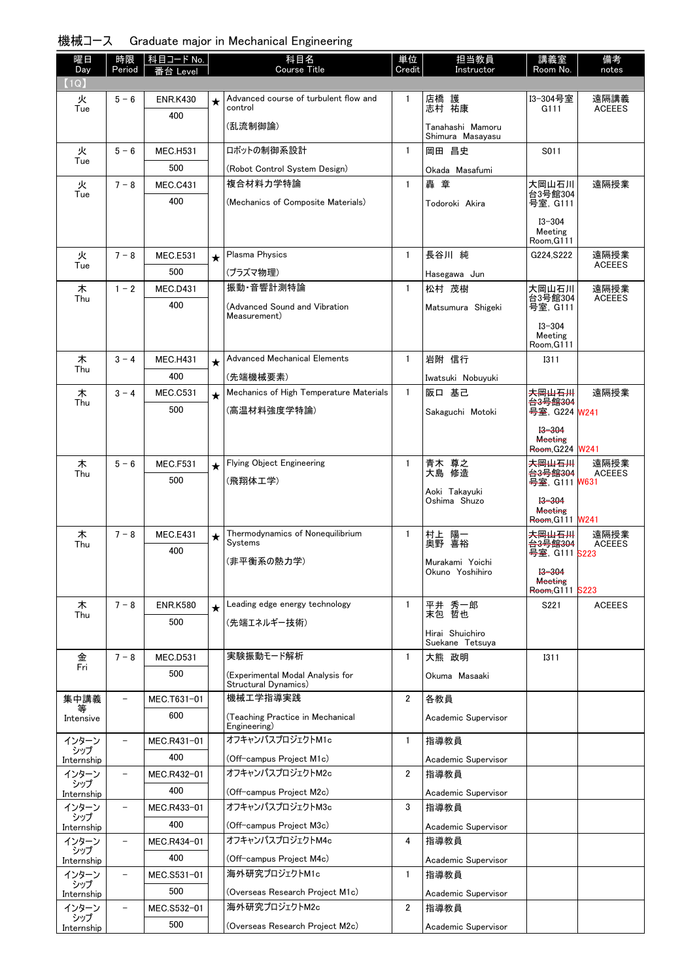| 機械コース<br>Graduate major in Mechanical Engineering |  |  |
|---------------------------------------------------|--|--|
|---------------------------------------------------|--|--|

| 曜日<br>Day         | 時限<br>Period             | │科目コード No.<br>番台 Level |          | 科目名<br>Course Title                              | 単位<br>Credit   | 担当教員<br>Instructor                 | 講義室<br>Room No.                     | 備考<br>notes           |
|-------------------|--------------------------|------------------------|----------|--------------------------------------------------|----------------|------------------------------------|-------------------------------------|-----------------------|
| (1Q)              |                          |                        |          |                                                  |                |                                    |                                     |                       |
| 火<br>Tue          | $5 - 6$                  | <b>ENR.K430</b>        | $\star$  | Advanced course of turbulent flow and<br>control | $\mathbf{1}$   | 店橋 護<br>志村 祐康                      | I3-304号室<br>G111                    | 遠隔講義<br><b>ACEEES</b> |
|                   |                          | 400                    |          | (乱流制御論)                                          |                | Tanahashi Mamoru                   |                                     |                       |
|                   |                          |                        |          |                                                  |                | Shimura Masayasu                   |                                     |                       |
| 火<br>Tue          | $5 - 6$                  | <b>MEC.H531</b>        |          | ロボットの制御系設計                                       | $\mathbf{1}$   | 岡田 昌史                              | S011                                |                       |
|                   |                          | 500                    |          | (Robot Control System Design)                    |                | Okada Masafumi                     |                                     |                       |
| 火<br>Tue          | $7 - 8$                  | <b>MEC.C431</b>        |          | 複合材料力学特論                                         | $\mathbf{1}$   | 轟 童                                | 大岡山石川<br>台3号館304                    | 遠隔授業                  |
|                   |                          | 400                    |          | (Mechanics of Composite Materials)               |                | Todoroki Akira                     | 号室. G111                            |                       |
|                   |                          |                        |          |                                                  |                |                                    | $I3 - 304$<br>Meeting               |                       |
|                   |                          |                        |          |                                                  |                |                                    | Room, G111                          |                       |
| 火<br>Tue          | $7 - 8$                  | <b>MEC.E531</b>        | $^\star$ | Plasma Physics                                   | $\mathbf{1}$   | 長谷川 純                              | G224, S222                          | 遠隔授業<br><b>ACEEES</b> |
|                   |                          | 500                    |          | (プラズマ物理)                                         |                | Hasegawa Jun                       |                                     |                       |
| 木<br>Thu          | $1 - 2$                  | <b>MEC.D431</b>        |          | 振動·音響計測特論                                        | $\mathbf{1}$   | 松村 茂樹                              | 大岡山石川<br>台3号館304                    | 遠隔授業<br><b>ACEEES</b> |
|                   |                          | 400                    |          | (Advanced Sound and Vibration<br>Measurement)    |                | Matsumura Shigeki                  | 号室, G111                            |                       |
|                   |                          |                        |          |                                                  |                |                                    | $13 - 304$<br>Meeting               |                       |
|                   |                          |                        |          |                                                  |                |                                    | Room, G111                          |                       |
| 木<br>Thu          | $3 - 4$                  | <b>MEC.H431</b>        | $\star$  | <b>Advanced Mechanical Elements</b>              | $\mathbf{1}$   | 岩附 信行                              | 1311                                |                       |
|                   |                          | 400                    |          | (先端機械要素)                                         |                | Iwatsuki Nobuvuki                  |                                     |                       |
| 木<br>Thu          | $3 - 4$                  | <b>MEC.C531</b>        | $\star$  | Mechanics of High Temperature Materials          | $\mathbf{1}$   | 阪口 基己                              | <b>大岡山石川</b><br><del>台3号館304</del>  | 遠隔授業                  |
|                   |                          | 500                    |          | (高温材料強度学特論)                                      |                | Sakaguchi Motoki                   | 号室, G224 W241                       |                       |
|                   |                          |                        |          |                                                  |                |                                    | $13 - 304$                          |                       |
|                   |                          |                        |          |                                                  |                |                                    | <b>Meeting</b><br>Room, G224 W241   |                       |
| 木                 | $5 - 6$                  | <b>MEC.F531</b>        | $\star$  | Flying Object Engineering                        | $\mathbf{1}$   | 青木 尊之                              | 夫岡山石川                               | 遠隔授業                  |
| Thu               |                          | 500                    |          | (飛翔体工学)                                          |                | 大島 修造                              | <del>台3号館304</del><br>号室, G111 W631 | <b>ACEEES</b>         |
|                   |                          |                        |          |                                                  |                | Aoki Takayuki<br>Oshima Shuzo      | $13 - 304$                          |                       |
|                   |                          |                        |          |                                                  |                |                                    | <b>Meeting</b><br>Room, G111 W241   |                       |
| 木                 | $7 - 8$                  | <b>MEC.E431</b>        | ★        | Thermodynamics of Nonequilibrium                 | $\mathbf{1}$   | 村上 陽一<br>奥野 喜裕                     | <b>夫岡山石川</b>                        | 遠隔授業                  |
| Thu               |                          | 400                    |          | Systems                                          |                |                                    | <del>台3号館304</del><br>号室, G111 S223 | <b>ACEEES</b>         |
|                   |                          |                        |          | (非平衡系の熱力学)                                       |                | Murakami Yoichi<br>Okuno Yoshihiro | $13 - 304$                          |                       |
|                   |                          |                        |          |                                                  |                |                                    | <b>Meeting</b><br>Room, G111 S223   |                       |
| 木                 | $7 - 8$                  | <b>ENR.K580</b>        | $\star$  | Leading edge energy technology                   | $\mathbf{1}$   | 平井 秀一郎<br>末包 哲也                    | S221                                | <b>ACEEES</b>         |
| Thu               |                          | 500                    |          | (先端エネルギー技術)                                      |                |                                    |                                     |                       |
|                   |                          |                        |          |                                                  |                | Hirai Shuichiro<br>Suekane Tetsuya |                                     |                       |
| 金                 | $7 - 8$                  | <b>MEC.D531</b>        |          | 実験振動モード解析                                        | $\mathbf{1}$   | 大熊 政明                              | 1311                                |                       |
| Fri               |                          | 500                    |          | (Experimental Modal Analysis for                 |                | Okuma Masaaki                      |                                     |                       |
|                   |                          |                        |          | Structural Dynamics)                             |                |                                    |                                     |                       |
| 集中講義<br>等         | $\overline{\phantom{0}}$ | MEC.T631-01            |          | 機械工学指導実践                                         | $\overline{2}$ | 各教員                                |                                     |                       |
| Intensive         |                          | 600                    |          | (Teaching Practice in Mechanical<br>Engineering) |                | Academic Supervisor                |                                     |                       |
| インターン             |                          | MEC.R431-01            |          | オフキャンパスプロジェクトM1c                                 | $\mathbf{1}$   | 指導教員                               |                                     |                       |
| シップ<br>Internship |                          | 400                    |          | (Off-campus Project M1c)                         |                | Academic Supervisor                |                                     |                       |
| インターン             | $\overline{\phantom{m}}$ | MEC.R432-01            |          | オフキャンパスプロジェクトM2c                                 | $\overline{2}$ | 指導教員                               |                                     |                       |
| シップ<br>Internship |                          | 400                    |          | (Off-campus Project M2c)                         |                | Academic Supervisor                |                                     |                       |
| インターン             | $\overline{\phantom{a}}$ | MEC.R433-01            |          | オフキャンパスプロジェクトM3c                                 | 3              | 指導教員                               |                                     |                       |
| シップ<br>Internship |                          | 400                    |          | (Off-campus Project M3c)                         |                | Academic Supervisor                |                                     |                       |
| インターン             | $\equiv$                 | MEC.R434-01            |          | オフキャンパスプロジェクトM4c                                 | 4              | 指導教員                               |                                     |                       |
| シップ<br>Internship |                          | 400                    |          | (Off-campus Project M4c)                         |                | Academic Supervisor                |                                     |                       |
| インターン             | $\overline{\phantom{a}}$ | MEC.S531-01            |          | 海外研究プロジェクトM1c                                    | $\mathbf{1}$   | 指導教員                               |                                     |                       |
| シップ<br>Internship |                          | 500                    |          | (Overseas Research Project M1c)                  |                | Academic Supervisor                |                                     |                       |
| インターン             |                          | MEC.S532-01            |          | 海外研究プロジェクトM2c                                    | $\mathbf{2}$   | 指導教員                               |                                     |                       |
| シップ<br>Internship |                          | 500                    |          | (Overseas Research Project M2c)                  |                | Academic Supervisor                |                                     |                       |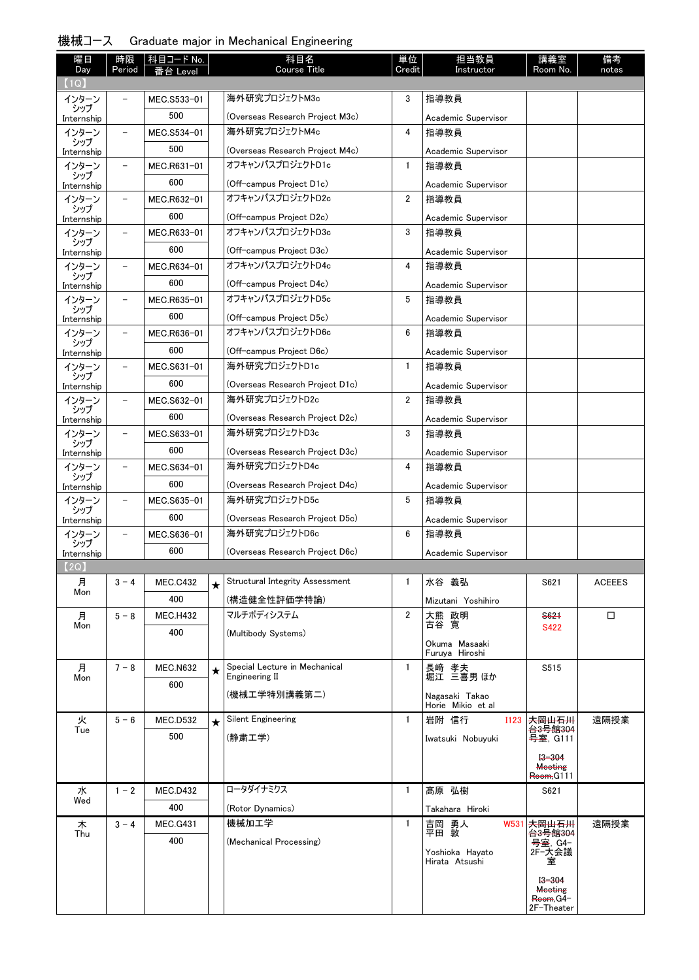|  | 機械コース |  |  |  |  | Graduate major in Mechanical Engineering |
|--|-------|--|--|--|--|------------------------------------------|
|--|-------|--|--|--|--|------------------------------------------|

| 曜日<br>Day           | 時限<br>Period             | <b>科目コード No.</b><br>番台 Level |         | 科目名<br><b>Course Title</b>                | 単位<br>Credit   | 担当教員<br>Instructor                  | 講義室<br>Room No.                | 備考<br>notes   |
|---------------------|--------------------------|------------------------------|---------|-------------------------------------------|----------------|-------------------------------------|--------------------------------|---------------|
| (1Q)                |                          |                              |         |                                           |                |                                     |                                |               |
| インターン               |                          | MEC.S533-01                  |         | 海外研究プロジェクトM3c                             | 3              | 指導教員                                |                                |               |
| シップ<br>Internship   |                          | 500                          |         | (Overseas Research Project M3c)           |                | Academic Supervisor                 |                                |               |
| インターン               | $\overline{\phantom{m}}$ | MEC.S534-01                  |         | 海外研究プロジェクトM4c                             | 4              | 指導教員                                |                                |               |
| シップ<br>Internship   |                          | 500                          |         | (Overseas Research Project M4c)           |                | Academic Supervisor                 |                                |               |
| インターン               | $\qquad \qquad -$        | MEC.R631-01                  |         | オフキャンパスプロジェクトD1c                          | $\mathbf{1}$   | 指導教員                                |                                |               |
| シップ<br>Internship   |                          | 600                          |         | (Off-campus Project D1c)                  |                | Academic Supervisor                 |                                |               |
| インターン               | $\qquad \qquad -$        | MEC.R632-01                  |         | オフキャンパスプロジェクトD2c                          | $\overline{2}$ | 指導教員                                |                                |               |
| シップ<br>Internship   |                          | 600                          |         | (Off-campus Project D2c)                  |                | Academic Supervisor                 |                                |               |
| インターン               | $\overline{\phantom{a}}$ | MEC.R633-01                  |         | オフキャンパスプロジェクトD3c                          | 3              | 指導教員                                |                                |               |
| シップ<br>Internship   |                          | 600                          |         | (Off-campus Project D3c)                  |                | Academic Supervisor                 |                                |               |
| インターン               | $\qquad \qquad -$        | MEC.R634-01                  |         | オフキャンパスプロジェクトD4c                          | 4              | 指導教員                                |                                |               |
| シップ<br>Internship   |                          | 600                          |         | (Off-campus Project D4c)                  |                | Academic Supervisor                 |                                |               |
| インターン               | $\overline{\phantom{0}}$ | MEC.R635-01                  |         | オフキャンパスプロジェクトD5c                          | 5              | 指導教員                                |                                |               |
| シップ                 |                          | 600                          |         | (Off-campus Project D5c)                  |                | Academic Supervisor                 |                                |               |
| Internship<br>インターン | $\overline{\phantom{a}}$ | MEC.R636-01                  |         | オフキャンパスプロジェクトD6c                          | 6              | 指導教員                                |                                |               |
| シップ                 |                          | 600                          |         |                                           |                |                                     |                                |               |
| Internship<br>インターン | $\qquad \qquad -$        |                              |         | (Off-campus Project D6c)<br>海外研究プロジェクトD1c | $\mathbf{1}$   | Academic Supervisor<br>指導教員         |                                |               |
| シップ                 |                          | MEC.S631-01                  |         |                                           |                |                                     |                                |               |
| Internship          |                          | 600                          |         | (Overseas Research Project D1c)           |                | Academic Supervisor                 |                                |               |
| インターン<br>シップ        | $\qquad \qquad -$        | MEC.S632-01                  |         | 海外研究プロジェクトD2c                             | $\overline{2}$ | 指導教員                                |                                |               |
| Internship          |                          | 600                          |         | (Overseas Research Project D2c)           |                | Academic Supervisor                 |                                |               |
| インターン<br>シップ        | $\qquad \qquad -$        | MEC.S633-01                  |         | 海外研究プロジェクトD3c                             | 3              | 指導教員                                |                                |               |
| Internship          |                          | 600                          |         | (Overseas Research Project D3c)           |                | Academic Supervisor                 |                                |               |
| インターン<br>シップ        | $\overline{\phantom{0}}$ | MEC.S634-01                  |         | 海外研究プロジェクトD4c                             | 4              | 指導教員                                |                                |               |
| Internship          |                          | 600                          |         | (Overseas Research Project D4c)           |                | Academic Supervisor                 |                                |               |
| インターン<br>シップ        | $\overline{\phantom{a}}$ | MEC.S635-01                  |         | 海外研究プロジェクトD5c                             | 5              | 指導教員                                |                                |               |
| Internship          |                          | 600                          |         | (Overseas Research Project D5c)           |                | Academic Supervisor                 |                                |               |
| インターン<br>シップ        | $\qquad \qquad -$        | MEC.S636-01                  |         | 海外研究プロジェクトD6c                             | 6              | 指導教員                                |                                |               |
| Internship          |                          | 600                          |         | (Overseas Research Project D6c)           |                | Academic Supervisor                 |                                |               |
| (2Q)                |                          |                              |         |                                           |                |                                     |                                |               |
| 月<br>Mon            | $3 - 4$                  | <b>MEC.C432</b>              | ★       | <b>Structural Integrity Assessment</b>    | $\mathbf{1}$   | 水谷 義弘                               | S621                           | <b>ACEEES</b> |
|                     |                          | 400                          |         | (構造健全性評価学特論)                              |                | Mizutani Yoshihiro                  |                                |               |
| 月<br>Mon            | $5 - 8$                  | <b>MEC.H432</b>              |         | マルチボディシステム                                | $\overline{2}$ | 大熊 政明<br>古谷 寛                       | S621<br>S422                   | □             |
|                     |                          | 400                          |         | (Multibody Systems)                       |                | Okuma Masaaki                       |                                |               |
|                     |                          |                              |         |                                           |                | Furuya Hiroshi                      |                                |               |
| 月                   | $7 - 8$                  | <b>MEC.N632</b>              | $\star$ | Special Lecture in Mechanical             | $\mathbf{1}$   | 長崎 孝夫                               | S515                           |               |
| Mon                 |                          | 600                          |         | Engineering II                            |                | 堀江 三喜男 ほか                           |                                |               |
|                     |                          |                              |         | (機械工学特別講義第二)                              |                | Nagasaki Takao<br>Horie Mikio et al |                                |               |
| 火                   | $5 - 6$                  | MEC.D532                     | $\star$ | <b>Silent Engineering</b>                 | $\mathbf{1}$   | 岩附 信行<br><b>I123</b>                | <b>大岡山石川</b>                   | 遠隔授業          |
| Tue                 |                          | 500                          |         | (静粛工学)                                    |                | Iwatsuki Nobuyuki                   | <del>台3号館304</del><br>号室, G111 |               |
|                     |                          |                              |         |                                           |                |                                     | $13 - 304$                     |               |
|                     |                          |                              |         |                                           |                |                                     | <b>Meeting</b>                 |               |
|                     |                          |                              |         | ロータダイナミクス                                 |                |                                     | Room, G111                     |               |
| 水<br>Wed            | $1 - 2$                  | <b>MEC.D432</b>              |         |                                           | $\mathbf{1}$   | 高原 弘樹                               | S621                           |               |
|                     |                          | 400                          |         | (Rotor Dynamics)                          |                | Takahara Hiroki                     |                                |               |
| 木<br>Thu            | $3 - 4$                  | <b>MEC.G431</b>              |         | 機械加工学                                     | $\mathbf{1}$   | 吉岡 勇人<br>平田 敦<br>W531               | 大岡山石川<br><del>台3号館304</del>    | 遠隔授業          |
|                     |                          | 400                          |         | (Mechanical Processing)                   |                | Yoshioka Hayato                     | 号室, G4-<br>2F-大会議              |               |
|                     |                          |                              |         |                                           |                | Hirata Atsushi                      | 室                              |               |
|                     |                          |                              |         |                                           |                |                                     | $13 - 304$                     |               |
|                     |                          |                              |         |                                           |                |                                     | <b>Meeting</b><br>Room, G4-    |               |
|                     |                          |                              |         |                                           |                |                                     | 2F-Theater                     |               |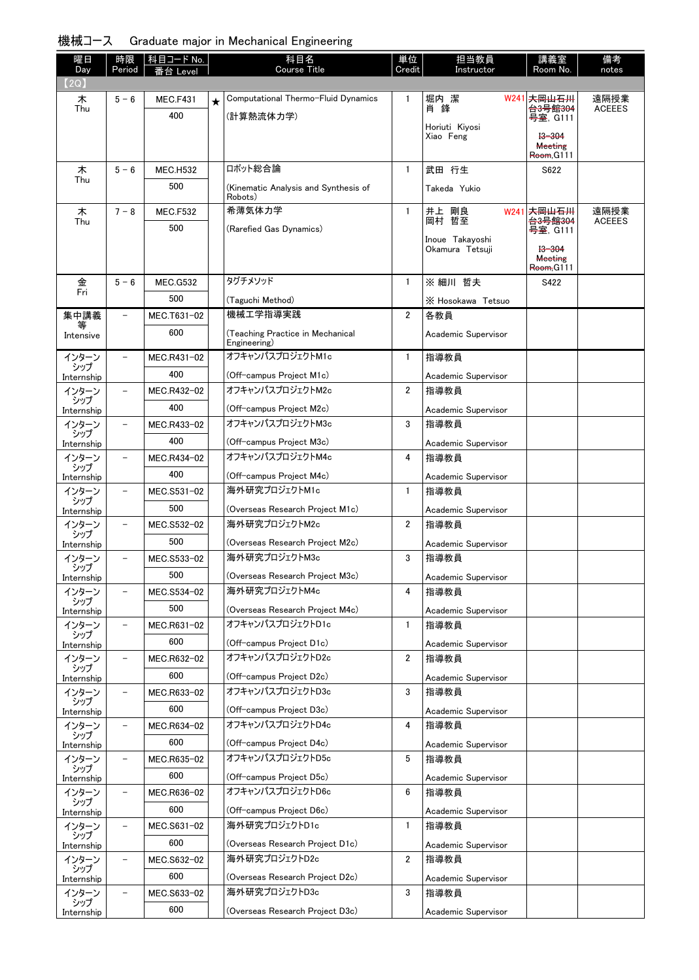## 機械コース Graduate major in Mechanical Engineering

| 曜日                | 時限                       | コード No.<br>枓目   |         | 科目名                                              | 単位             | 担当教員                               | 講義室                                    | 備考            |
|-------------------|--------------------------|-----------------|---------|--------------------------------------------------|----------------|------------------------------------|----------------------------------------|---------------|
| Day               | Period                   | evel            |         | Course Title                                     | Credit         | Instructor                         | Room No.                               | notes         |
| 【2Q】<br>木         | $5 - 6$                  | <b>MEC.F431</b> |         | Computational Thermo-Fluid Dynamics              | $\mathbf{1}$   | W241<br>堀内潔                        | * <del>周山石川</del>                      | 遠隔授業          |
| Thu               |                          | 400             | $\star$ |                                                  |                | 肖 鋒                                | <b>台3号館304</b>                         | <b>ACEEES</b> |
|                   |                          |                 |         | (計算熱流体力学)                                        |                | Horiuti Kiyosi                     | <del>号室</del> , G111                   |               |
|                   |                          |                 |         |                                                  |                | Xiao Feng                          | $13 - 304$<br><b>Meeting</b>           |               |
|                   |                          |                 |         |                                                  |                |                                    | Room, G111                             |               |
| 木<br>Thu          | $5 - 6$                  | <b>MEC.H532</b> |         | ロボット総合論                                          | $\mathbf{1}$   | 武田 行生                              | S622                                   |               |
|                   |                          | 500             |         | (Kinematic Analysis and Synthesis of<br>Robots)  |                | Takeda Yukio                       |                                        |               |
| 木                 | $7 - 8$                  | <b>MEC.F532</b> |         | 希薄気体力学                                           | $\mathbf{1}$   | 井上 剛良<br>岡村 哲至                     | W241 夫 <del>岡山石川</del>                 | 遠隔授業          |
| Thu               |                          | 500             |         | (Rarefied Gas Dynamics)                          |                |                                    | <b>台3号館304</b><br><del>号室</del> , G111 | <b>ACEEES</b> |
|                   |                          |                 |         |                                                  |                | Inoue Takayoshi<br>Okamura Tetsuji | $13 - 304$                             |               |
|                   |                          |                 |         |                                                  |                |                                    | <b>Meeting</b>                         |               |
| 金                 | $5 - 6$                  | <b>MEC.G532</b> |         | タグチメソッド                                          | $\mathbf{1}$   | ※ 細川 哲夫                            | Room, G111<br>S422                     |               |
| Fri               |                          | 500             |         | (Taguchi Method)                                 |                |                                    |                                        |               |
| 集中講義              |                          | MEC.T631-02     |         | 機械工学指導実践                                         | $\overline{2}$ | X Hosokawa Tetsuo<br>各教員           |                                        |               |
|                   |                          | 600             |         |                                                  |                |                                    |                                        |               |
| Intensive         |                          |                 |         | (Teaching Practice in Mechanical<br>Engineering) |                | Academic Supervisor                |                                        |               |
| インターン             |                          | MEC.R431-02     |         | オフキャンパスプロジェクトM1c                                 | $\mathbf{1}$   | 指導教員                               |                                        |               |
| シップ<br>Internship |                          | 400             |         | (Off-campus Project M1c)                         |                | Academic Supervisor                |                                        |               |
| インターン             | $\overline{\phantom{0}}$ | MEC.R432-02     |         | オフキャンパスプロジェクトM2c                                 | $\overline{2}$ | 指導教員                               |                                        |               |
| シップ<br>Internship |                          | 400             |         | (Off-campus Project M2c)                         |                | Academic Supervisor                |                                        |               |
| インターン             | $\qquad \qquad -$        | MEC.R433-02     |         | オフキャンパスプロジェクトM3c                                 | 3              | 指導教員                               |                                        |               |
| シップ<br>Internship |                          | 400             |         | (Off-campus Project M3c)                         |                | Academic Supervisor                |                                        |               |
| インターン             | $\overline{\phantom{0}}$ | MEC.R434-02     |         | オフキャンパスプロジェクトM4c                                 | 4              | 指導教員                               |                                        |               |
| シップ<br>Internship |                          | 400             |         | (Off-campus Project M4c)                         |                | Academic Supervisor                |                                        |               |
| インターン             | -                        | MEC.S531-02     |         | 海外研究プロジェクトM1c                                    | $\mathbf{1}$   | 指導教員                               |                                        |               |
| シップ<br>Internship |                          | 500             |         | (Overseas Research Project M1c)                  |                | Academic Supervisor                |                                        |               |
| インターン             | -                        | MEC.S532-02     |         | 海外研究プロジェクトM2c                                    | $\overline{2}$ | 指導教員                               |                                        |               |
| シップ<br>Internship |                          | 500             |         | (Overseas Research Project M2c)                  |                | Academic Supervisor                |                                        |               |
| インターン             | $\qquad \qquad -$        | MEC.S533-02     |         | 海外研究プロジェクトM3c                                    | 3              | 指導教員                               |                                        |               |
| シップ<br>Internship |                          | 500             |         | (Overseas Research Project M3c)                  |                | Academic Supervisor                |                                        |               |
| インターン             | $\overline{\phantom{0}}$ | MEC.S534-02     |         | 海外研究プロジェクトM4c                                    | 4              | 指導教員                               |                                        |               |
| シップ<br>Internship |                          | 500             |         | (Overseas Research Project M4c)                  |                | Academic Supervisor                |                                        |               |
| インターン             | $\qquad \qquad -$        | MEC.R631-02     |         | オフキャンパスプロジェクトD1c                                 | $\mathbf{1}$   | 指導教員                               |                                        |               |
| シップ<br>Internship |                          | 600             |         | (Off-campus Project D1c)                         |                | Academic Supervisor                |                                        |               |
| インターン             | $\qquad \qquad -$        | MEC.R632-02     |         | オフキャンパスプロジェクトD2c                                 | $\overline{2}$ | 指導教員                               |                                        |               |
| シップ<br>Internship |                          | 600             |         | (Off-campus Project D2c)                         |                | Academic Supervisor                |                                        |               |
| インターン             | -                        | MEC.R633-02     |         | オフキャンパスプロジェクトD3c                                 | 3              | 指導教員                               |                                        |               |
| シップ<br>Internship |                          | 600             |         | (Off-campus Project D3c)                         |                | Academic Supervisor                |                                        |               |
| インターン             | $\qquad \qquad -$        | MEC.R634-02     |         | オフキャンパスプロジェクトD4c                                 | 4              | 指導教員                               |                                        |               |
| シップ<br>Internship |                          | 600             |         | (Off-campus Project D4c)                         |                | Academic Supervisor                |                                        |               |
| インターン             | $\qquad \qquad -$        | MEC.R635-02     |         | オフキャンパスプロジェクトD5c                                 | 5              | 指導教員                               |                                        |               |
| シップ<br>Internship |                          | 600             |         | (Off-campus Project D5c)                         |                | Academic Supervisor                |                                        |               |
| インターン             | $\qquad \qquad -$        | MEC.R636-02     |         | オフキャンパスプロジェクトD6c                                 | 6              | 指導教員                               |                                        |               |
| シップ<br>Internship |                          | 600             |         | (Off-campus Project D6c)                         |                | Academic Supervisor                |                                        |               |
| インターン             | $\qquad \qquad -$        | MEC.S631-02     |         | 海外研究プロジェクトD1c                                    | $\mathbf{1}$   | 指導教員                               |                                        |               |
| シップ<br>Internship |                          | 600             |         | (Overseas Research Project D1c)                  |                | Academic Supervisor                |                                        |               |
| インターン             | $\qquad \qquad -$        | MEC.S632-02     |         | 海外研究プロジェクトD2c                                    | $\overline{2}$ | 指導教員                               |                                        |               |
| シップ<br>Internship |                          | 600             |         | (Overseas Research Project D2c)                  |                | Academic Supervisor                |                                        |               |
| インターン             | -                        | MEC.S633-02     |         | 海外研究プロジェクトD3c                                    | 3              | 指導教員                               |                                        |               |
| シップ<br>Internship |                          | 600             |         | (Overseas Research Project D3c)                  |                | Academic Supervisor                |                                        |               |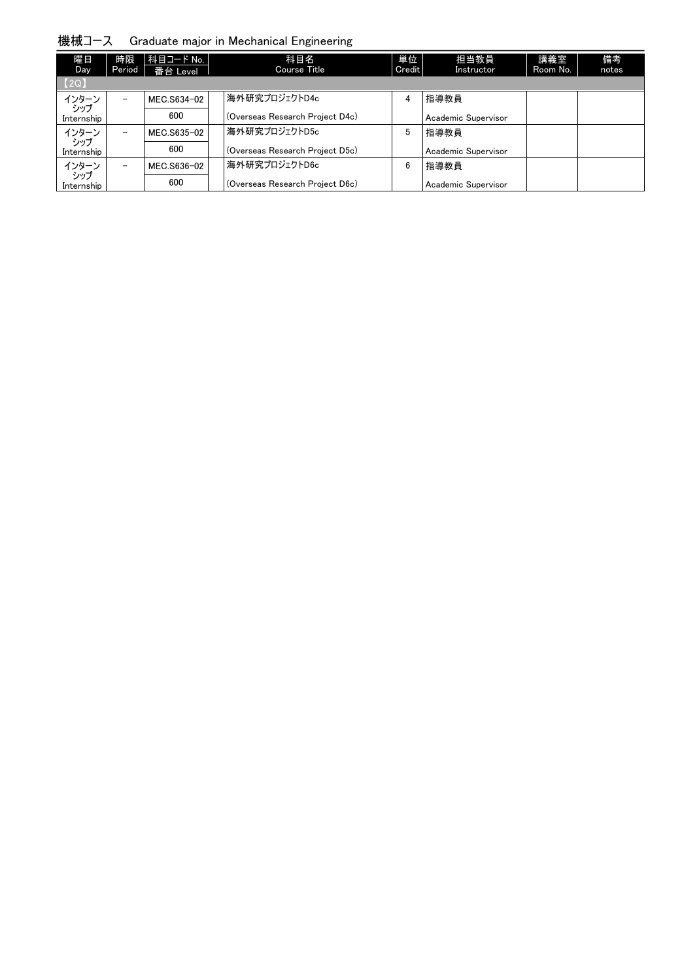機械コース Graduate major in Mechanical Engineering

| 曜日<br><b>Day</b>        | 時限<br>Period             | │科目コード No. │<br>番台 Level | 科目名<br><b>Course Title</b>      | 単位<br>Credit | 担当教員<br>Instructor  | 講義室<br>Room No. | 備考<br>notes |
|-------------------------|--------------------------|--------------------------|---------------------------------|--------------|---------------------|-----------------|-------------|
| [2Q]                    |                          |                          |                                 |              |                     |                 |             |
| インターン<br>・シップ           | -                        | MEC.S634-02              | 海外研究プロジェクトD4c                   | 4            | 指導教員                |                 |             |
| Internship              |                          | 600                      | (Overseas Research Project D4c) |              | Academic Supervisor |                 |             |
| インターン                   | $\overline{\phantom{0}}$ | MEC.S635-02              | 海外研究プロジェクトD5c                   | 5            | 指導教員                |                 |             |
| 5.97<br>Internship      |                          | 600                      | (Overseas Research Project D5c) |              | Academic Supervisor |                 |             |
| インターン                   | $\qquad \qquad -$        | MEC.S636-02              | 海外研究プロジェクトD6c                   | 6            | 指導教員                |                 |             |
| م<br>موسر<br>Internship |                          | 600                      | (Overseas Research Project D6c) |              | Academic Supervisor |                 |             |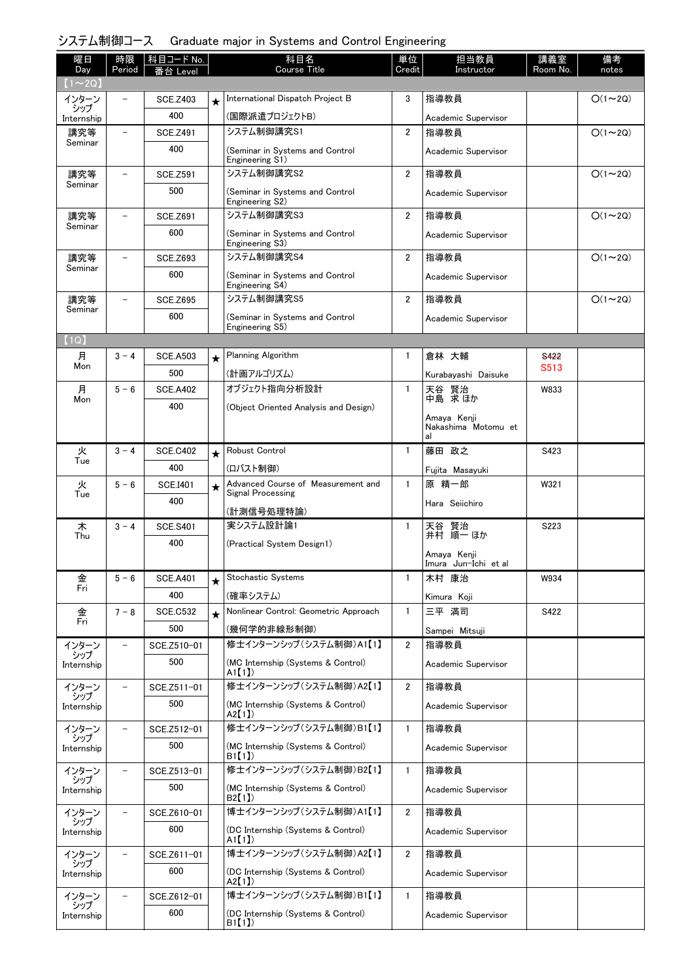## システム制御コース Graduate major in Systems and Control Engineering

| 曜日<br>Day         | 時限<br>Period | 科目コード No.       |          | 科目名<br><b>Course Title</b>                         | 単位<br>Credit   | 担当教員<br>Instructor                       | 講義室<br>Room No. | 備考<br>notes   |
|-------------------|--------------|-----------------|----------|----------------------------------------------------|----------------|------------------------------------------|-----------------|---------------|
| $(1\sim2Q)$       |              | 番台 Level        |          |                                                    |                |                                          |                 |               |
| インターン             |              | <b>SCE.Z403</b> | $^\star$ | International Dispatch Project B                   | 3              | 指導教員                                     |                 | $O(1\sim 2Q)$ |
| シップ<br>Internship |              | 400             |          | (国際派遣プロジェクトB)                                      |                | Academic Supervisor                      |                 |               |
| 講究等               |              | <b>SCE.Z491</b> |          | システム制御講究S1                                         | $\overline{2}$ | 指導教員                                     |                 | $O(1\sim 2Q)$ |
| Seminar           |              | 400             |          | (Seminar in Systems and Control<br>Engineering S1) |                | Academic Supervisor                      |                 |               |
| 講究等               |              | <b>SCE.Z591</b> |          | システム制御講究S2                                         | $\overline{2}$ | 指導教員                                     |                 | $O(1\sim 2Q)$ |
| Seminar           |              | 500             |          | (Seminar in Systems and Control<br>Engineering S2) |                | Academic Supervisor                      |                 |               |
| 講究等               |              | <b>SCE.Z691</b> |          | システム制御講究S3                                         | $\overline{2}$ | 指導教員                                     |                 | $O(1\sim 2Q)$ |
| Seminar           |              | 600             |          | (Seminar in Systems and Control<br>Engineering S3) |                | Academic Supervisor                      |                 |               |
| 講究等               |              | <b>SCE.Z693</b> |          | システム制御講究S4                                         | $\overline{2}$ | 指導教員                                     |                 | $O(1\sim 2Q)$ |
| Seminar           |              | 600             |          | (Seminar in Systems and Control<br>Engineering S4) |                | Academic Supervisor                      |                 |               |
| 講究等               |              | <b>SCE.Z695</b> |          | システム制御講究S5                                         | $\overline{2}$ | 指導教員                                     |                 | $O(1\sim 2Q)$ |
| Seminar           |              | 600             |          | (Seminar in Systems and Control                    |                | Academic Supervisor                      |                 |               |
| (1Q)              |              |                 |          | Engineering S5)                                    |                |                                          |                 |               |
| 月                 | $3 - 4$      | <b>SCE.A503</b> | $^\star$ | Planning Algorithm                                 | 1              | 倉林 大輔                                    | <b>S422</b>     |               |
| Mon               |              | 500             |          | (計画アルゴリズム)                                         |                | Kurabayashi Daisuke                      | S513            |               |
| 月                 | $5 - 6$      | <b>SCE.A402</b> |          | オブジェクト指向分析設計                                       | $\mathbf{1}$   | 天谷 賢治<br>中島 求ほか                          | W833            |               |
| Mon               |              | 400             |          | (Object Oriented Analysis and Design)              |                |                                          |                 |               |
|                   |              |                 |          |                                                    |                | Amaya Kenji<br>Nakashima Motomu et<br>al |                 |               |
| 火                 | $3 - 4$      | <b>SCE.C402</b> | $\star$  | Robust Control                                     | $\mathbf{1}$   | 藤田 政之                                    | S423            |               |
| Tue               |              | 400             |          | (ロバスト制御)                                           |                | Fujita Masayuki                          |                 |               |
| 火                 | $5 - 6$      | <b>SCE.I401</b> | $\star$  | Advanced Course of Measurement and                 | $\mathbf{1}$   | 原 精一郎                                    | W321            |               |
| Tue               |              | 400             |          | Signal Processing                                  |                | Hara Seiichiro                           |                 |               |
| 木                 | $3 - 4$      | <b>SCE.S401</b> |          | (計測信号処理特論)<br>実システム設計論1                            | $\mathbf{1}$   |                                          | S223            |               |
| Thu               |              | 400             |          | (Practical System Design1)                         |                | 天谷 賢治<br>井村 順一 ほか                        |                 |               |
|                   |              |                 |          |                                                    |                | Amaya Kenji<br>Imura Jun-Ichi et al      |                 |               |
| 金                 | $5 - 6$      | <b>SCE.A401</b> | $\star$  | <b>Stochastic Systems</b>                          | $\mathbf{1}$   | 木村 康治                                    | W934            |               |
| Fri               |              | 400             |          | (確率システム)                                           |                | Kimura Koji                              |                 |               |
| 金                 | $7 - 8$      | <b>SCE.C532</b> | $\star$  | Nonlinear Control: Geometric Approach              | $\mathbf{1}$   | 三平 満司                                    | S422            |               |
| Fri               |              | 500             |          | (幾何学的非線形制御)                                        |                | Sampei Mitsuji                           |                 |               |
| インターン             |              | SCE.Z510-01     |          | 修士インターンシップ (システム制御)A1【1】                           | $\overline{2}$ | 指導教員                                     |                 |               |
| シップ<br>Internship |              | 500             |          | (MC Internship (Systems & Control)<br>A1[1]        |                | Academic Supervisor                      |                 |               |
| インターン             |              | SCE.Z511-01     |          | 修士インターンシップ (システム制御)A2【1】                           | $\overline{2}$ | 指導教員                                     |                 |               |
| シップ<br>Internship |              | 500             |          | (MC Internship (Systems & Control)<br>A2[1]        |                | Academic Supervisor                      |                 |               |
| インターン             |              | SCE.Z512-01     |          | 修士インターンシップ (システム制御)B1【1】                           | 1              | 指導教員                                     |                 |               |
| シップ<br>Internship |              | 500             |          | (MC Internship (Systems & Control)<br>B1【1】        |                | Academic Supervisor                      |                 |               |
| インターン             |              | SCE.Z513-01     |          | 修士インターンシップ (システム制御)B2【1】                           | $\mathbf{1}$   | 指導教員                                     |                 |               |
| シップ<br>Internship |              | 500             |          | (MC Internship (Systems & Control)<br>B2(1)        |                | Academic Supervisor                      |                 |               |
| インターン<br>シップ      |              | SCE.Z610-01     |          | 博士インターンシップ (システム制御)A1【1】                           | $\overline{2}$ | 指導教員                                     |                 |               |
| Internship        |              | 600             |          | (DC Internship (Systems & Control)<br>A1[1]        |                | Academic Supervisor                      |                 |               |
| インターン<br>シップ      |              | SCE.Z611-01     |          | 博士インターンシップ (システム制御)A2【1】                           | $\overline{2}$ | 指導教員                                     |                 |               |
| Internship        |              | 600             |          | (DC Internship (Systems & Control)<br>A2[1]        |                | Academic Supervisor                      |                 |               |
| インターン<br>シップ      |              | SCE.Z612-01     |          | 博士インターンシップ (システム制御)B1【1】                           | $\mathbf{1}$   | 指導教員                                     |                 |               |
| Internship        |              | 600             |          | (DC Internship (Systems & Control)<br>B1[1]        |                | Academic Supervisor                      |                 |               |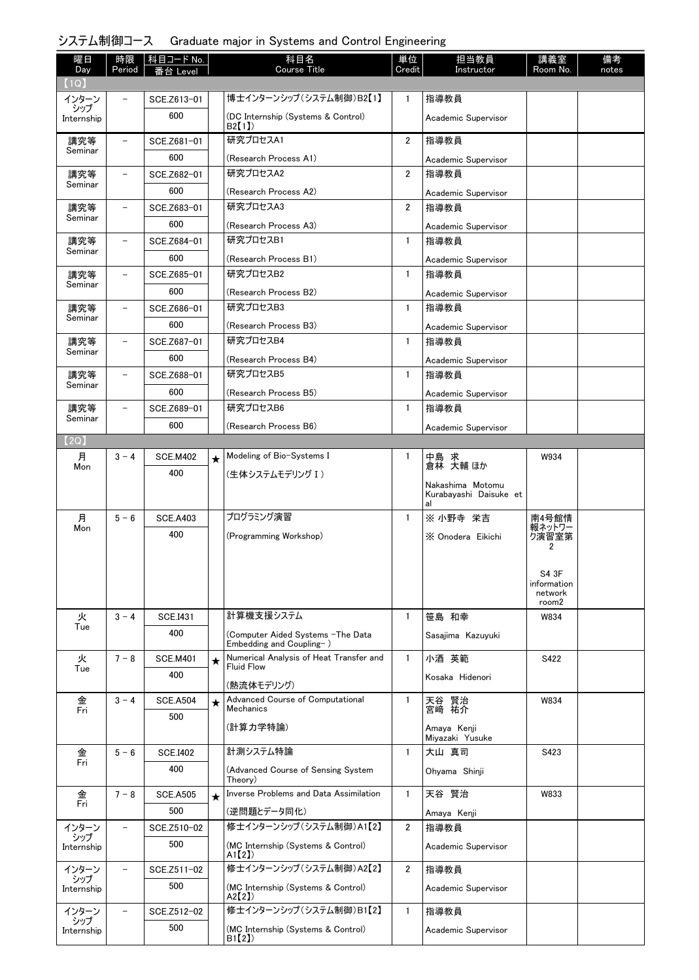## システム制御コース Graduate major in Systems and Control Engineering

| 曜日                | 時限                       | │科目コード No.         |         | 科目名                                                           | 単位             | 担当教員                                             | 講義室                    | 備考    |
|-------------------|--------------------------|--------------------|---------|---------------------------------------------------------------|----------------|--------------------------------------------------|------------------------|-------|
| Day<br>(1Q)       | Period                   | を合 Level           |         | <b>Course Title</b>                                           | Credit         | Instructor                                       | Room No.               | notes |
| インターン             |                          | SCE.Z613-01        |         | 博士インターンシップ (システム制御)B2【1】                                      | $\mathbf{1}$   | 指導教員                                             |                        |       |
| シップ<br>Internship |                          | 600                |         | (DC Internship (Systems & Control)                            |                | Academic Supervisor                              |                        |       |
|                   |                          |                    |         | B2[1])                                                        |                |                                                  |                        |       |
| 講究等<br>Seminar    | $\overline{\phantom{m}}$ | SCE.Z681-01        |         | 研究プロセスA1                                                      | $\overline{2}$ | 指導教員                                             |                        |       |
|                   |                          | 600                |         | (Research Process A1)                                         |                | Academic Supervisor                              |                        |       |
| 講究等<br>Seminar    | $\overline{\phantom{0}}$ | SCE.Z682-01        |         | 研究プロセスA2                                                      | $\overline{2}$ | 指導教員                                             |                        |       |
|                   |                          | 600<br>SCE.Z683-01 |         | (Research Process A2)<br>研究プロセスA3                             | $\overline{2}$ | Academic Supervisor                              |                        |       |
| 講究等<br>Seminar    | $\overline{\phantom{a}}$ |                    |         |                                                               |                | 指導教員                                             |                        |       |
|                   | $\overline{\phantom{a}}$ | 600                |         | (Research Process A3)<br>研究プロセスB1                             |                | Academic Supervisor                              |                        |       |
| 講究等<br>Seminar    |                          | SCE.Z684-01<br>600 |         |                                                               | 1              | 指導教員                                             |                        |       |
|                   | ÷                        |                    |         | (Research Process B1)<br>研究プロセスB2                             | $\mathbf{1}$   | Academic Supervisor                              |                        |       |
| 講究等<br>Seminar    |                          | SCE.Z685-01        |         |                                                               |                | 指導教員                                             |                        |       |
|                   | $\overline{\phantom{0}}$ | 600                |         | (Research Process B2)<br>研究プロセスB3                             | $\mathbf{1}$   | Academic Supervisor                              |                        |       |
| 講究等<br>Seminar    |                          | SCE.Z686-01        |         |                                                               |                | 指導教員                                             |                        |       |
|                   | $\overline{\phantom{0}}$ | 600                |         | (Research Process B3)<br>研究プロセスB4                             |                | Academic Supervisor                              |                        |       |
| 講究等<br>Seminar    |                          | SCE.Z687-01        |         |                                                               | $\mathbf{1}$   | 指導教員                                             |                        |       |
|                   | $\overline{\phantom{a}}$ | 600<br>SCE.Z688-01 |         | (Research Process B4)<br>研究プロセスB5                             | $\mathbf{1}$   | Academic Supervisor                              |                        |       |
| 講究等<br>Seminar    |                          |                    |         |                                                               |                | 指導教員                                             |                        |       |
|                   |                          | 600                |         | (Research Process B5)<br>研究プロセスB6                             | $\mathbf{1}$   | Academic Supervisor                              |                        |       |
| 講究等<br>Seminar    | $\overline{\phantom{0}}$ | SCE.Z689-01        |         |                                                               |                | 指導教員                                             |                        |       |
| (2Q)              |                          | 600                |         | (Research Process B6)                                         |                | Academic Supervisor                              |                        |       |
| 月                 | $3 - 4$                  | <b>SCE.M402</b>    | $\star$ | Modeling of Bio-Systems I                                     | 1              |                                                  | W934                   |       |
| Mon               |                          | 400                |         | (生体システムモデリング I)                                               |                | 中島 求<br>倉林 大輔ほか                                  |                        |       |
|                   |                          |                    |         |                                                               |                | Nakashima Motomu<br>Kurabayashi Daisuke et<br>al |                        |       |
| 月                 | $5 - 6$                  | <b>SCE.A403</b>    |         | プログラミング演習                                                     | $\mathbf{1}$   | ※ 小野寺 栄吉                                         | 南4号館情                  |       |
| Mon               |                          | 400                |         | (Programming Workshop)                                        |                | X Onodera Eikichi                                | 報ネットワー<br>ク演習室第        |       |
|                   |                          |                    |         |                                                               |                |                                                  | 2                      |       |
|                   |                          |                    |         |                                                               |                |                                                  | S4 3F                  |       |
|                   |                          |                    |         |                                                               |                |                                                  | information<br>network |       |
|                   |                          |                    |         |                                                               |                |                                                  | room2                  |       |
| 火<br>Tue          | $3 - 4$                  | <b>SCE.I431</b>    |         | 計算機支援システム                                                     | 1              | 笹島 和幸                                            | W834                   |       |
|                   |                          | 400                |         | (Computer Aided Systems -The Data<br>Embedding and Coupling-) |                | Sasajima Kazuyuki                                |                        |       |
| 火                 | $7 - 8$                  | <b>SCE.M401</b>    | $\star$ | Numerical Analysis of Heat Transfer and                       | $\mathbf{1}$   | 小酒 英範                                            | S422                   |       |
| Tue               |                          | 400                |         | <b>Fluid Flow</b>                                             |                | Kosaka Hidenori                                  |                        |       |
|                   |                          |                    |         | (熱流体モデリング)                                                    |                |                                                  |                        |       |
| 金<br>Fri          | $3 - 4$                  | <b>SCE.A504</b>    | $\star$ | Advanced Course of Computational<br>Mechanics                 | $\mathbf{1}$   | 天谷 賢治<br>宮崎 祐介                                   | W834                   |       |
|                   |                          | 500                |         | (計算力学特論)                                                      |                | Amaya Kenji                                      |                        |       |
|                   |                          |                    |         |                                                               |                | Miyazaki Yusuke                                  |                        |       |
| 金<br>Fri          | $5 - 6$                  | <b>SCE.I402</b>    |         | 計測システム特論                                                      | $\mathbf{1}$   | 大山 真司                                            | S423                   |       |
|                   |                          | 400                |         | (Advanced Course of Sensing System<br>Theory)                 |                | Ohyama Shinji                                    |                        |       |
| 金                 | $7 - 8$                  | <b>SCE.A505</b>    | $\star$ | Inverse Problems and Data Assimilation                        | $\mathbf{1}$   | 天谷 賢治                                            | W833                   |       |
| Fri               |                          | 500                |         | (逆問題とデータ同化)                                                   |                | Amaya Kenji                                      |                        |       |
| インターン             | $\qquad \qquad -$        | SCE.Z510-02        |         | 修士インターンシップ (システム制御)A1【2】                                      | $\overline{2}$ | 指導教員                                             |                        |       |
| シップ<br>Internship |                          | 500                |         | (MC Internship (Systems & Control)                            |                | Academic Supervisor                              |                        |       |
|                   |                          |                    |         | A1[2]                                                         |                |                                                  |                        |       |
| インターン<br>シップ      | $\qquad \qquad -$        | SCE.Z511-02        |         | 修士インターンシップ (システム制御)A2【2】                                      | $\overline{2}$ | 指導教員                                             |                        |       |
| Internship        |                          | 500                |         | (MC Internship (Systems & Control)<br>A2[2]                   |                | Academic Supervisor                              |                        |       |
| インターン             |                          | SCE.Z512-02        |         | 修士インターンシップ (システム制御)B1【2】                                      | $\mathbf{1}$   | 指導教員                                             |                        |       |
| シップ<br>Internship |                          | 500                |         | (MC Internship (Systems & Control)                            |                | Academic Supervisor                              |                        |       |
|                   |                          |                    |         | B1(2)                                                         |                |                                                  |                        |       |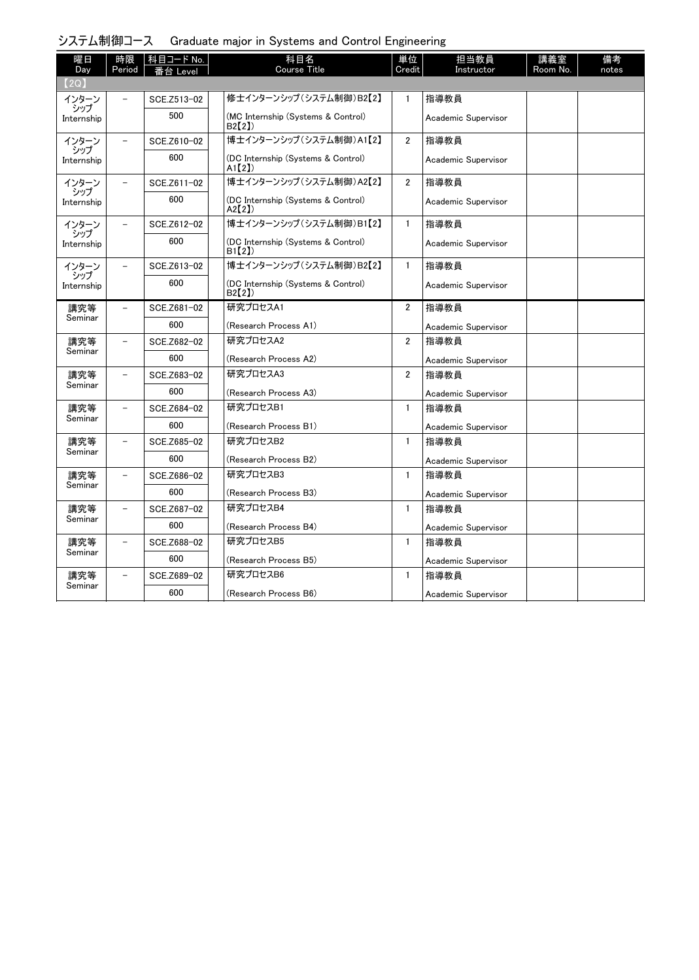| システム制御コース Graduate major in Systems and Control Engineering |  |  |  |  |  |
|-------------------------------------------------------------|--|--|--|--|--|
|-------------------------------------------------------------|--|--|--|--|--|

| 曜日             | 時限                       | 科目コード No.   | 科目名                                         | 単位             | 担当教員                | 講義室      | 備考    |
|----------------|--------------------------|-------------|---------------------------------------------|----------------|---------------------|----------|-------|
| Day<br>【2Q】    | Period                   | 番台 Level    | Course Title                                | Credit         | Instructor          | Room No. | notes |
| インターン          |                          | SCE.Z513-02 | 修士インターンシップ (システム制御)B2【2】                    | $\mathbf{1}$   | 指導教員                |          |       |
| シップ            |                          |             |                                             |                |                     |          |       |
| Internship     |                          | 500         | (MC Internship (Systems & Control)<br>B2(2) |                | Academic Supervisor |          |       |
| インターン<br>シップ   | $\equiv$                 | SCE.Z610-02 | 博士インターンシップ(システム制御)A1【2】                     | $\overline{2}$ | 指導教員                |          |       |
| Internship     |                          | 600         | (DC Internship (Systems & Control)<br>A1[2] |                | Academic Supervisor |          |       |
| インターン<br>シップ   |                          | SCE.Z611-02 | 博士インターンシップ (システム制御)A2【2】                    | $\overline{2}$ | 指導教員                |          |       |
| Internship     |                          | 600         | (DC Internship (Systems & Control)<br>A2[2] |                | Academic Supervisor |          |       |
| インターン<br>シップ   |                          | SCE.Z612-02 | 博士インターンシップ (システム制御)B1【2】                    | $\mathbf{1}$   | 指導教員                |          |       |
| Internship     |                          | 600         | (DC Internship (Systems & Control)<br>B1(2) |                | Academic Supervisor |          |       |
| インターン<br>シップ   | $\equiv$                 | SCE.Z613-02 | 博士インターンシップ(システム制御)B2【2】                     | $\mathbf{1}$   | 指導教員                |          |       |
| Internship     |                          | 600         | (DC Internship (Systems & Control)<br>B2(2) |                | Academic Supervisor |          |       |
| 講究等            | $\equiv$                 | SCE.Z681-02 | 研究プロセスA1                                    | $\overline{2}$ | 指導教員                |          |       |
| Seminar        |                          | 600         | (Research Process A1)                       |                | Academic Supervisor |          |       |
| 講究等            | $\equiv$                 | SCE.Z682-02 | 研究プロセスA2                                    | $\overline{2}$ | 指導教員                |          |       |
| Seminar        |                          | 600         | (Research Process A2)                       |                | Academic Supervisor |          |       |
| 講究等            | $\equiv$                 | SCE.Z683-02 | 研究プロセスA3                                    | $\overline{2}$ | 指導教員                |          |       |
| Seminar        |                          | 600         | (Research Process A3)                       |                | Academic Supervisor |          |       |
| 講究等            |                          | SCE.Z684-02 | 研究プロセスB1                                    | $\mathbf{1}$   | 指導教員                |          |       |
| Seminar        |                          | 600         | (Research Process B1)                       |                | Academic Supervisor |          |       |
| 講究等            | $\overline{\phantom{0}}$ | SCE.Z685-02 | 研究プロセスB2                                    | $\mathbf{1}$   | 指導教員                |          |       |
| Seminar        |                          | 600         | (Research Process B2)                       |                | Academic Supervisor |          |       |
| 講究等<br>Seminar |                          | SCE.Z686-02 | 研究プロセスB3                                    | $\mathbf{1}$   | 指導教員                |          |       |
|                |                          | 600         | (Research Process B3)                       |                | Academic Supervisor |          |       |
| 講究等            | $\overline{a}$           | SCE.Z687-02 | 研究プロセスB4                                    | $\mathbf{1}$   | 指導教員                |          |       |
| Seminar        |                          | 600         | (Research Process B4)                       |                | Academic Supervisor |          |       |
| 講究等            | $\overline{\phantom{0}}$ | SCE.Z688-02 | 研究プロセスB5                                    | $\mathbf{1}$   | 指導教員                |          |       |
| Seminar        |                          | 600         | (Research Process B5)                       |                | Academic Supervisor |          |       |
| 講究等            | $\equiv$                 | SCE.Z689-02 | 研究プロセスB6                                    | $\mathbf{1}$   | 指導教員                |          |       |
| Seminar        |                          | 600         | (Research Process B6)                       |                | Academic Supervisor |          |       |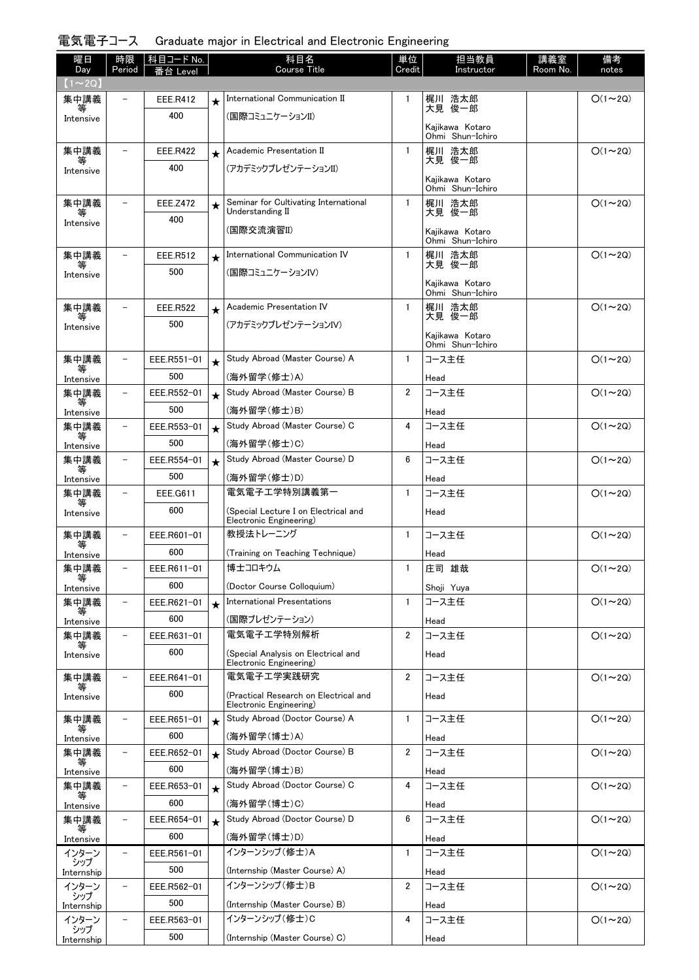## 電気電子コース Graduate major in Electrical and Electronic Engineering

| 曜日                  | 時限                       | 科目コード No.       |         | 科目名                                                             | 単位             | 担当教員                                | 講義室      | 備考             |
|---------------------|--------------------------|-----------------|---------|-----------------------------------------------------------------|----------------|-------------------------------------|----------|----------------|
| Day<br>$(1\sim 2Q)$ | Period                   | Level           |         | <b>Course Title</b>                                             | Credit         | Instructor                          | Room No. | notes          |
| 集中講義                |                          | EEE.R412        | ╈       | International Communication II                                  | $\mathbf{1}$   | 梶川 浩太郎                              |          | $O(1\sim 2Q)$  |
| Intensive           |                          | 400             |         | (国際コミュニケーションII)                                                 |                | 大見 俊一郎                              |          |                |
|                     |                          |                 |         |                                                                 |                | Kajikawa Kotaro<br>Ohmi Shun-Ichiro |          |                |
| 集中講義                | $\equiv$                 | EEE.R422        | $\star$ | Academic Presentation II                                        | $\mathbf{1}$   | 梶川 浩太郎                              |          | $O(1\sim 2Q)$  |
| 等<br>Intensive      |                          | 400             |         | (アカデミックプレゼンテーションII)                                             |                | 大見 俊一郎                              |          |                |
|                     |                          |                 |         |                                                                 |                | Kajikawa Kotaro<br>Ohmi Shun-Ichiro |          |                |
| 集中講義                |                          | <b>EEE.Z472</b> | $\star$ | Seminar for Cultivating International                           | 1              | 梶川 浩太郎                              |          | $O(1\sim 2Q)$  |
| 等<br>Intensive      |                          | 400             |         | Understanding II                                                |                | 大見 俊一郎                              |          |                |
|                     |                          |                 |         | (国際交流演習II)                                                      |                | Kaiikawa Kotaro<br>Ohmi Shun-Ichiro |          |                |
| 集中講義                | $\overline{\phantom{0}}$ | EEE.R512        | $\star$ | International Communication IV                                  | $\mathbf{1}$   | 梶川 浩太郎                              |          | $O(1\sim 2Q)$  |
| 等<br>Intensive      |                          | 500             |         | (国際コミュニケーションIV)                                                 |                | 大見 俊一郎                              |          |                |
|                     |                          |                 |         |                                                                 |                | Kajikawa Kotaro<br>Ohmi Shun-Ichiro |          |                |
| 集中講義                | $\overline{\phantom{0}}$ | <b>EEE.R522</b> | $\star$ | Academic Presentation IV                                        | $\mathbf{1}$   | 梶川 浩太郎<br>大見 俊一郎                    |          | $O(1\sim 2Q)$  |
| 等<br>Intensive      |                          | 500             |         | (アカデミックプレゼンテーションIV)                                             |                |                                     |          |                |
|                     |                          |                 |         |                                                                 |                | Kajikawa Kotaro<br>Ohmi Shun-Ichiro |          |                |
| 集中講義                | $\overline{\phantom{0}}$ | EEE.R551-01     | $\star$ | Study Abroad (Master Course) A                                  | $\mathbf{1}$   | コース主任                               |          | $O(1\sim 2Q)$  |
| Intensive           |                          | 500             |         | (海外留学(修士)A)                                                     |                | Head                                |          |                |
| 集中講義<br>等           |                          | EEE.R552-01     | $\star$ | Study Abroad (Master Course) B                                  | $\overline{2}$ | コース主任                               |          | $O(1\sim 2Q)$  |
| Intensive           |                          | 500             |         | (海外留学(修士)B)                                                     |                | Head                                |          |                |
| 集中講義<br>等           | $\overline{\phantom{0}}$ | EEE.R553-01     | $\star$ | Study Abroad (Master Course) C                                  | 4              | コース主任                               |          | $O(1\sim 2Q)$  |
| Intensive           |                          | 500             |         | (海外留学(修士)C)                                                     |                | Head                                |          |                |
| 集中講義<br>等           | $\overline{\phantom{a}}$ | EEE.R554-01     | $\star$ | Study Abroad (Master Course) D                                  | 6              | コース主任                               |          | $O(1\sim 2Q)$  |
| Intensive           |                          | 500             |         | (海外留学(修士)D)                                                     |                | Head                                |          |                |
| 集中講義<br>等           | $\overline{\phantom{0}}$ | EEE.G611        |         | 電気電子工学特別講義第一                                                    | 1              | コース主任                               |          | $O(1\sim 2Q)$  |
| Intensive           |                          | 600             |         | (Special Lecture I on Electrical and<br>Electronic Engineering) |                | Head                                |          |                |
| 集中講義                | $\overline{\phantom{0}}$ | EEE.R601-01     |         | 教授法トレーニング                                                       | 1              | コース主任                               |          | $O(1\sim 2Q)$  |
| 等<br>Intensive      |                          | 600             |         | (Training on Teaching Technique)                                |                | Head                                |          |                |
| 集中講義<br>等           | $\overline{\phantom{0}}$ | EEE.R611-01     |         | 博士コロキウム                                                         | $\mathbf{1}$   | 庄司 雄哉                               |          | $O(1 \sim 2Q)$ |
| Intensive           |                          | 600             |         | (Doctor Course Colloquium)                                      |                | Shoji Yuya                          |          |                |
| 集中講義                |                          | EEE.R621-01     | $\star$ | International Presentations                                     | $\mathbf{1}$   | コース主任                               |          | $O(1\sim 2Q)$  |
| Intensive           |                          | 600             |         | (国際プレゼンテーション)                                                   |                | Head                                |          |                |
| 集中講義<br>等           | $\overline{\phantom{0}}$ | EEE.R631-01     |         | 電気電子工学特別解析                                                      | $\overline{2}$ | コース主任                               |          | $O(1\sim 2Q)$  |
| Intensive           |                          | 600             |         | (Special Analysis on Electrical and<br>Electronic Engineering)  |                | Head                                |          |                |
| 集中講義                | $\overline{\phantom{0}}$ | EEE.R641-01     |         | 電気電子エ学実践研究                                                      | $\overline{2}$ | コース主任                               |          | $O(1\sim 2Q)$  |
| 等<br>Intensive      |                          | 600             |         | (Practical Research on Electrical and                           |                | Head                                |          |                |
| 集中講義                | $\overline{\phantom{0}}$ | EEE.R651-01     | $\star$ | Electronic Engineering)<br>Study Abroad (Doctor Course) A       | $\mathbf{1}$   | コース主任                               |          | $O(1\sim 2Q)$  |
| 等                   |                          | 600             |         | (海外留学(博士)A)                                                     |                | Head                                |          |                |
| Intensive<br>集中講義   | $\overline{\phantom{a}}$ | EEE.R652-01     | $\star$ | Study Abroad (Doctor Course) B                                  | $\overline{2}$ | コース主任                               |          | $O(1\sim 2Q)$  |
| 等<br>Intensive      |                          | 600             |         | (海外留学(博士)B)                                                     |                | Head                                |          |                |
| 集中講義                | -                        | EEE.R653-01     | $\star$ | Study Abroad (Doctor Course) C                                  | 4              | コース主任                               |          | $O(1\sim 2Q)$  |
| Intensive           |                          | 600             |         | (海外留学(博士)C)                                                     |                | Head                                |          |                |
| 集中講義                |                          | EEE.R654-01     | $\star$ | Study Abroad (Doctor Course) D                                  | 6              | コース主任                               |          | $O(1\sim 2Q)$  |
| 等<br>Intensive      |                          | 600             |         | (海外留学(博士)D)                                                     |                | Head                                |          |                |
| インターン               |                          | EEE.R561-01     |         | インターンシップ (修士)A                                                  | $\mathbf{1}$   | コース主任                               |          | $O(1\sim 2Q)$  |
| シップ<br>Internship   |                          | 500             |         | (Internship (Master Course) A)                                  |                | Head                                |          |                |
| インターン               | $\overline{\phantom{a}}$ | EEE.R562-01     |         | インターンシップ (修士)B                                                  | $\overline{2}$ | コース主任                               |          | $O(1\sim 2Q)$  |
| シップ<br>Internship   |                          | 500             |         | (Internship (Master Course) B)                                  |                | Head                                |          |                |
| インターン               | $\overline{\phantom{0}}$ | EEE.R563-01     |         | インターンシップ(修士)C                                                   | 4              | コース主任                               |          | $O(1\sim 2Q)$  |
| シップ<br>Internship   |                          | 500             |         | (Internship (Master Course) C)                                  |                | Head                                |          |                |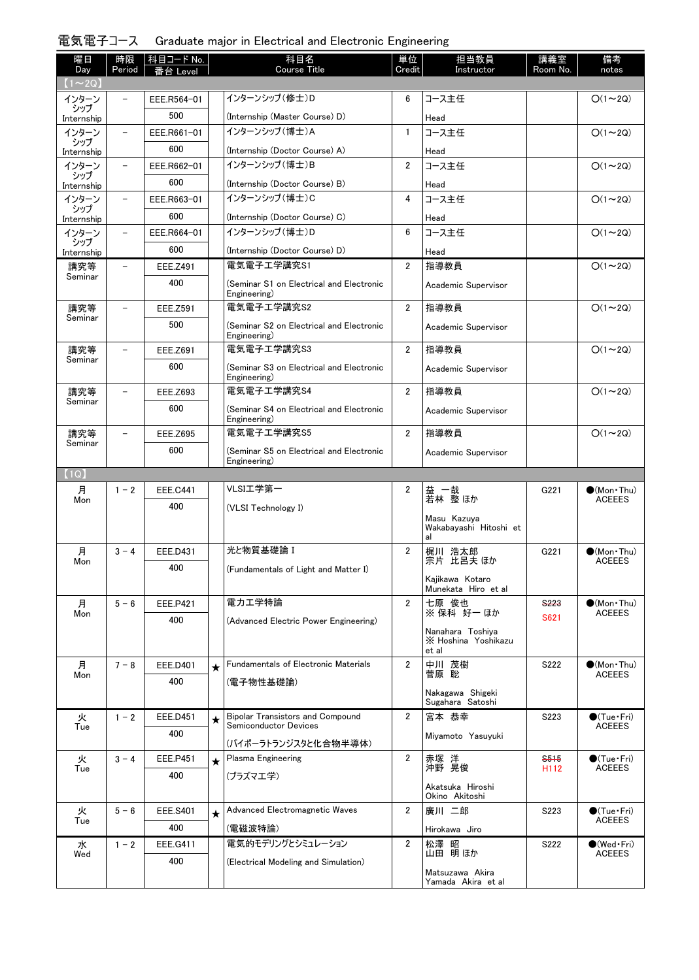## 電気電子コース Graduate major in Electrical and Electronic Engineering

| 曜日<br>Day         | 時限<br>Period             | │科目コード No.<br>番台 Level |         | 科目名<br><b>Course Title</b>                               | 単位<br>Credit   | 担当教員<br>Instructor                               | 講義室<br>Room No.                      | 備考<br>notes                          |
|-------------------|--------------------------|------------------------|---------|----------------------------------------------------------|----------------|--------------------------------------------------|--------------------------------------|--------------------------------------|
| $(1\sim 2Q)$      |                          |                        |         |                                                          |                |                                                  |                                      |                                      |
| インターン             |                          | EEE.R564-01            |         | インターンシップ (修士)D                                           | 6              | コース主任                                            |                                      | $O(1\sim 2Q)$                        |
| シップ<br>Internship |                          | 500                    |         | (Internship (Master Course) D)                           |                | Head                                             |                                      |                                      |
| インターン             | $\overline{\phantom{m}}$ | EEE.R661-01            |         | インターンシップ(博士)A                                            | 1              | コース主任                                            |                                      | $O(1\sim 2Q)$                        |
| シップ<br>Internship |                          | 600                    |         | (Internship (Doctor Course) A)                           |                | Head                                             |                                      |                                      |
| インターン             | $\qquad \qquad -$        | EEE.R662-01            |         | インターンシップ (博士)B                                           | $\overline{2}$ | コース主任                                            |                                      | $O(1\sim 2Q)$                        |
| シップ<br>Internship |                          | 600                    |         | (Internship (Doctor Course) B)                           |                | Head                                             |                                      |                                      |
| インターン             | $\overline{\phantom{a}}$ | EEE.R663-01            |         | インターンシップ(博士)C                                            | 4              | コース主任                                            |                                      | $O(1\sim 2Q)$                        |
| シップ<br>Internship |                          | 600                    |         | (Internship (Doctor Course) C)                           |                | Head                                             |                                      |                                      |
| インターン             | $\overline{\phantom{a}}$ | EEE.R664-01            |         | インターンシップ (博士)D                                           | 6              | コース主任                                            |                                      | $O(1\sim 2Q)$                        |
| シップ<br>Internship |                          | 600                    |         | (Internship (Doctor Course) D)                           |                | Head                                             |                                      |                                      |
| 講究等               | $\overline{\phantom{0}}$ | EEE.Z491               |         | 電気電子工学講究S1                                               | $\overline{2}$ | 指導教員                                             |                                      | $O(1\sim 2Q)$                        |
| Seminar           |                          | 400                    |         | (Seminar S1 on Electrical and Electronic                 |                | Academic Supervisor                              |                                      |                                      |
|                   |                          |                        |         | Engineering)                                             |                |                                                  |                                      |                                      |
| 講究等<br>Seminar    | $\overline{\phantom{0}}$ | <b>EEE.Z591</b>        |         | 電気電子工学講究S2                                               | $\overline{2}$ | 指導教員                                             |                                      | $O(1\sim 2Q)$                        |
|                   |                          | 500                    |         | (Seminar S2 on Electrical and Electronic<br>Engineering) |                | Academic Supervisor                              |                                      |                                      |
| 講究等               | $\overline{\phantom{0}}$ | EEE.Z691               |         | 電気電子工学講究S3                                               | $\overline{2}$ | 指導教員                                             |                                      | $O(1\sim 2Q)$                        |
| Seminar           |                          | 600                    |         | (Seminar S3 on Electrical and Electronic<br>Engineering) |                | Academic Supervisor                              |                                      |                                      |
| 講究等               |                          | EEE.Z693               |         | 電気電子工学講究S4                                               | $\overline{2}$ | 指導教員                                             |                                      | $O(1\sim 2Q)$                        |
| Seminar           |                          | 600                    |         | (Seminar S4 on Electrical and Electronic<br>Engineering) |                | Academic Supervisor                              |                                      |                                      |
| 講究等               |                          | <b>EEE.Z695</b>        |         | 電気電子工学講究S5                                               | $\overline{2}$ | 指導教員                                             |                                      | $O(1\sim 2Q)$                        |
| Seminar           |                          | 600                    |         | (Seminar S5 on Electrical and Electronic<br>Engineering) |                | Academic Supervisor                              |                                      |                                      |
| (1Q)              |                          |                        |         |                                                          |                |                                                  |                                      |                                      |
| 月                 | $1 - 2$                  | <b>EEE.C441</b>        |         | VLSI工学第一                                                 | $\overline{2}$ | 益 一哉<br>若林 整ほか                                   | G221                                 | $\bullet$ (Mon Thu)                  |
| Mon               |                          | 400                    |         | (VLSI Technology I)                                      |                |                                                  |                                      | <b>ACEEES</b>                        |
|                   |                          |                        |         |                                                          |                | Masu Kazuya<br>Wakabayashi Hitoshi et<br>al      |                                      |                                      |
| 月                 | $3 - 4$                  | EEE.D431               |         | 光と物質基礎論 I                                                | 2              | 梶川 浩太郎                                           | G221                                 | $\bullet$ (Mon $\cdot$ Thu)          |
| Mon               |                          | 400                    |         | (Fundamentals of Light and Matter I)                     |                | 宗片 比呂夫 ほか                                        |                                      | <b>ACEEES</b>                        |
|                   |                          |                        |         |                                                          |                | Kajikawa Kotaro<br>Munekata Hiro et al           |                                      |                                      |
| 月                 | $5 - 6$                  | EEE.P421               |         | 電力工学特論                                                   | $\overline{2}$ | 七原 俊也<br>※ 保科 好一 ほか                              | <b>S223</b>                          | $\bullet$ (Mon Thu)                  |
| Mon               |                          | 400                    |         | (Advanced Electric Power Engineering)                    |                |                                                  | S621                                 | <b>ACEEES</b>                        |
|                   |                          |                        |         |                                                          |                | Nanahara Toshiya<br>X Hoshina Yoshikazu<br>et al |                                      |                                      |
| 月                 | $7 - 8$                  | <b>EEE.D401</b>        | $\star$ | Fundamentals of Electronic Materials                     | 2              | 中川 茂樹                                            | S222                                 | $\bullet$ (Mon Thu)                  |
| Mon               |                          | 400                    |         | (電子物性基礎論)                                                |                | 菅原 聡                                             |                                      | ACEEES                               |
|                   |                          |                        |         |                                                          |                | Nakagawa Shigeki<br>Sugahara Satoshi             |                                      |                                      |
| 火                 | $1 - 2$                  | EEE.D451               | $\star$ | <b>Bipolar Transistors and Compound</b>                  | $\overline{2}$ | 宮本 恭幸                                            | S223                                 | $\bigcirc$ (Tue · Fri)               |
| Tue               |                          | 400                    |         | <b>Semiconductor Devices</b>                             |                | Miyamoto Yasuyuki                                |                                      | <b>ACEEES</b>                        |
|                   |                          |                        |         | (バイポーラトランジスタと化合物半導体)                                     |                |                                                  |                                      |                                      |
| 火<br>Tue          | $3 - 4$                  | EEE.P451               | $\star$ | Plasma Engineering                                       | $\overline{2}$ | 赤塚 洋<br>沖野 晃俊                                    | S <sub>515</sub><br>H <sub>112</sub> | $\bullet$ (Tue•Fri)<br><b>ACEEES</b> |
|                   |                          | 400                    |         | (プラズマエ学)                                                 |                |                                                  |                                      |                                      |
|                   |                          |                        |         |                                                          |                | Akatsuka Hiroshi<br>Okino Akitoshi               |                                      |                                      |
| 火                 | $5 - 6$                  | <b>EEE.S401</b>        | $\star$ | Advanced Electromagnetic Waves                           | $\overline{2}$ | 廣川 二郎                                            | S223                                 | $\bullet$ (Tue•Fri)                  |
| Tue               |                          | 400                    |         | (電磁波特論)                                                  |                | Hirokawa Jiro                                    |                                      | <b>ACEEES</b>                        |
| 水                 | $1 - 2$                  | EEE.G411               |         | 電気的モデリングとシミュレーション                                        | $\overline{2}$ | 松澤 昭                                             | S222                                 | $\bullet$ (Wed•Fri)                  |
| Wed               |                          | 400                    |         | (Electrical Modeling and Simulation)                     |                | 山田 明ほか                                           |                                      | <b>ACEEES</b>                        |
|                   |                          |                        |         |                                                          |                | Matsuzawa Akira<br>Yamada Akira et al            |                                      |                                      |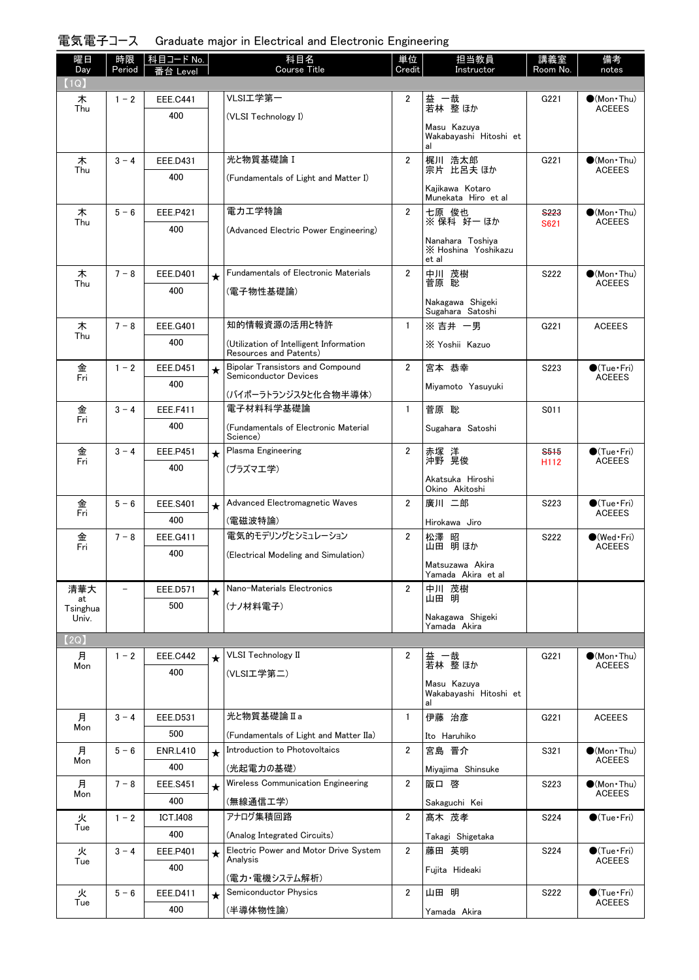## 電気電子コース Graduate major in Electrical and Electronic Engineering

| 曜日<br>Day         | 時限<br>Period             | │科目コードNo.<br>番台 Level  |         | 科目名<br>Course Title                                                     | 単位<br>Credit   | 担当教員<br>Instructor                      | 講義室<br>Room No.     | 備考<br>notes                           |
|-------------------|--------------------------|------------------------|---------|-------------------------------------------------------------------------|----------------|-----------------------------------------|---------------------|---------------------------------------|
| (1Q)              |                          |                        |         |                                                                         |                |                                         |                     |                                       |
| 木<br>Thu          | $1 - 2$                  | <b>EEE.C441</b><br>400 |         | VLSI工学第一                                                                | $\overline{2}$ | 益 一哉<br>若林 整ほか                          | G221                | $(Mon\cdot Thu)$<br><b>ACEEES</b>     |
|                   |                          |                        |         | (VLSI Technology I)                                                     |                | Masu Kazuya<br>Wakabayashi Hitoshi et   |                     |                                       |
|                   |                          |                        |         |                                                                         |                |                                         |                     |                                       |
| 木<br>Thu          | $3 - 4$                  | EEE.D431               |         | 光と物質基礎論 I                                                               | $\overline{2}$ | 梶川 浩太郎<br>宗片 比呂夫 ほか                     | G221                | $\bullet$ (Mon Thu)<br><b>ACEEES</b>  |
|                   |                          | 400                    |         | (Fundamentals of Light and Matter I)                                    |                | Kajikawa Kotaro                         |                     |                                       |
|                   |                          |                        |         | 電力工学特論                                                                  | $\overline{2}$ | Munekata Hiro et al                     |                     |                                       |
| 木<br>Thu          | $5 - 6$                  | EEE.P421<br>400        |         |                                                                         |                | 七原 俊也<br>※保科 好一 ほか                      | <b>S223</b><br>S621 | $\bullet$ (Mon Thu)<br><b>ACEEES</b>  |
|                   |                          |                        |         | (Advanced Electric Power Engineering)                                   |                | Nanahara Toshiya<br>X Hoshina Yoshikazu |                     |                                       |
|                   |                          |                        |         |                                                                         |                | et al                                   |                     |                                       |
| 木<br>Thu          | $7 - 8$                  | EEE.D401               | $\star$ | <b>Fundamentals of Electronic Materials</b>                             | $\overline{2}$ | 中川 茂樹<br>菅原 聡                           | S222                | $\bullet$ (Mon Thu)<br><b>ACEEES</b>  |
|                   |                          | 400                    |         | (電子物性基礎論)                                                               |                | Nakagawa Shigeki                        |                     |                                       |
|                   |                          |                        |         |                                                                         |                | Sugahara Satoshi                        |                     |                                       |
| 木<br>Thu          | $7 - 8$                  | <b>EEE.G401</b>        |         | 知的情報資源の活用と特許                                                            | $\mathbf{1}$   | ※吉井 一男                                  | G221                | <b>ACEEES</b>                         |
|                   |                          | 400                    |         | (Utilization of Intelligent Information<br>Resources and Patents)       |                | X Yoshii Kazuo                          |                     |                                       |
| 金<br>Fri          | $1 - 2$                  | <b>EEE.D451</b>        | $\star$ | <b>Bipolar Transistors and Compound</b><br><b>Semiconductor Devices</b> | $\overline{2}$ | 宮本 恭幸                                   | S223                | $\bullet$ (Tue•Fri)<br><b>ACEEES</b>  |
|                   |                          | 400                    |         | (バイポーラトランジスタと化合物半導体)                                                    |                | Miyamoto Yasuyuki                       |                     |                                       |
| 金                 | $3 - 4$                  | <b>EEE.F411</b>        |         | 電子材料科学基礎論                                                               | $\mathbf{1}$   | 菅原 聡                                    | S011                |                                       |
| Fri               |                          | 400                    |         | (Fundamentals of Electronic Material                                    |                | Sugahara Satoshi                        |                     |                                       |
|                   | $3 - 4$                  | EEE.P451               | $\star$ | Science)<br>Plasma Engineering                                          | $\overline{2}$ |                                         | S <sub>515</sub>    | $\bullet$ (Tue•Fri)                   |
| 金<br>Fri          |                          | 400                    |         | (プラズマエ学)                                                                |                | 赤塚 洋<br>沖野 晃俊                           | H112                | <b>ACEEES</b>                         |
|                   |                          |                        |         |                                                                         |                | Akatsuka Hiroshi<br>Okino Akitoshi      |                     |                                       |
| 金                 | $5 - 6$                  | <b>EEE.S401</b>        | $\star$ | Advanced Electromagnetic Waves                                          | $\overline{2}$ | 廣川 二郎                                   | S223                | $\bullet$ (Tue•Fri)                   |
| Fri               |                          | 400                    |         | (電磁波特論)                                                                 |                | Hirokawa Jiro                           |                     | <b>ACEEES</b>                         |
| 金<br>Fri          | $7 - 8$                  | EEE.G411               |         | 電気的モデリングとシミュレーション                                                       | $\overline{2}$ | 松澤 昭<br>山田 明ほか                          | S222                | $\bigcirc$ (Wed·Fri)<br><b>ACEEES</b> |
|                   |                          | 400                    |         | (Electrical Modeling and Simulation)                                    |                | Matsuzawa Akira                         |                     |                                       |
|                   |                          |                        |         |                                                                         |                | Yamada Akira etal                       |                     |                                       |
| 清華大<br>at         | $\overline{\phantom{0}}$ | EEE.D571               | $\star$ | Nano-Materials Electronics                                              | $\overline{2}$ | 中川 茂樹<br>山田 明                           |                     |                                       |
| Tsinghua<br>Univ. |                          | 500                    |         | (ナノ材料電子)                                                                |                | Nakagawa Shigeki                        |                     |                                       |
|                   |                          |                        |         |                                                                         |                | Yamada Akira                            |                     |                                       |
| (2Q)<br>月         | $1 - 2$                  | <b>EEE.C442</b>        |         | <b>VLSI</b> Technology II                                               | 2              | 益 一哉                                    | G221                | $\bullet$ (Mon•Thu)                   |
| Mon               |                          | 400                    | $\star$ | (VLSI工学第二)                                                              |                | 若林 整ほか                                  |                     | <b>ACEEES</b>                         |
|                   |                          |                        |         |                                                                         |                | Masu Kazuya<br>Wakabayashi Hitoshi et   |                     |                                       |
|                   |                          |                        |         | 光と物質基礎論Ia                                                               |                | al<br>伊藤 治彦                             |                     |                                       |
| 月<br>Mon          | $3 - 4$                  | EEE.D531<br>500        |         |                                                                         | 1              |                                         | G221                | <b>ACEEES</b>                         |
| 月                 | $5 - 6$                  | <b>ENR.L410</b>        | $\star$ | (Fundamentals of Light and Matter IIa)<br>Introduction to Photovoltaics | 2              | Ito Haruhiko<br>宮島 晋介                   | S321                | $\bullet$ (Mon Thu)                   |
| Mon               |                          | 400                    |         | (光起電力の基礎)                                                               |                | Miyajima Shinsuke                       |                     | <b>ACEEES</b>                         |
| 月                 | $7 - 8$                  | <b>EEE.S451</b>        | $\star$ | Wireless Communication Engineering                                      | $\overline{2}$ | 阪口 啓                                    | S223                | $(Mon$ Thu)                           |
| Mon               |                          | 400                    |         | (無線通信工学)                                                                |                | Sakaguchi Kei                           |                     | <b>ACEEES</b>                         |
| 火                 | $1 - 2$                  | <b>ICT.I408</b>        |         | アナログ集積回路                                                                | $\overline{2}$ | 髙木 茂孝                                   | S224                | $\bigcirc$ (Tue · Fri)                |
| Tue               |                          | 400                    |         | (Analog Integrated Circuits)                                            |                | Takagi Shigetaka                        |                     |                                       |
| 火<br>Tue          | $3 - 4$                  | EEE.P401               | $\star$ | Electric Power and Motor Drive System<br>Analysis                       | $\overline{2}$ | 藤田 英明                                   | S224                | $\bullet$ (Tue•Fri)<br><b>ACEEES</b>  |
|                   |                          | 400                    |         | (電力・電機システム解析)                                                           |                | Fujita Hideaki                          |                     |                                       |
| 火                 | $5 - 6$                  | EEE.D411               | $\star$ | Semiconductor Physics                                                   | 2              | 山田 明                                    | S222                | $\bullet$ (Tue•Fri)                   |
| Tue               |                          | 400                    |         | (半導体物性論)                                                                |                | Yamada Akira                            |                     | <b>ACEEES</b>                         |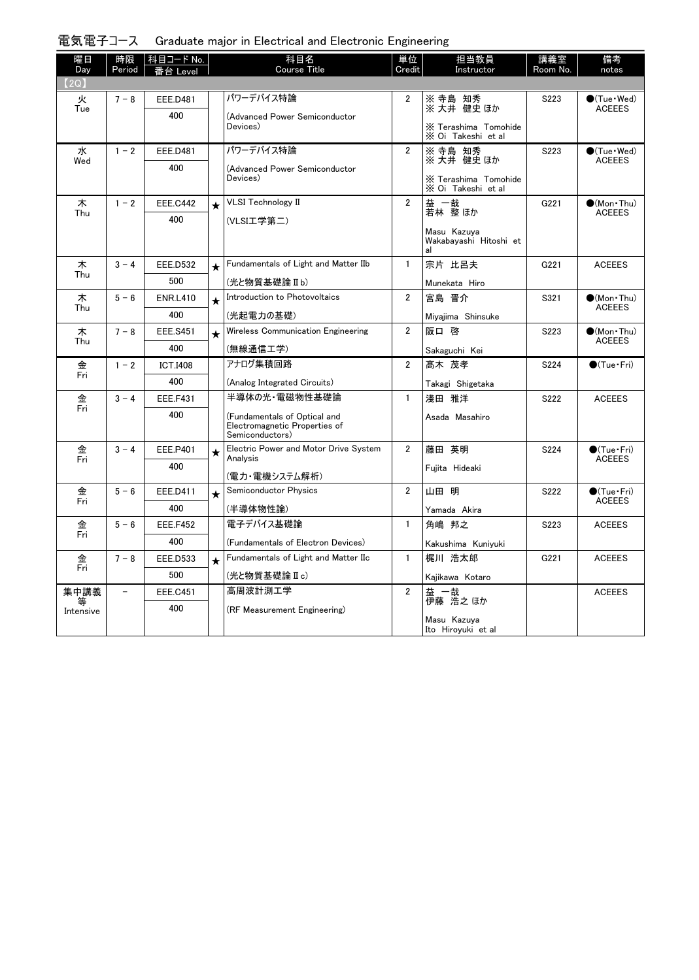| 電気電子コース Graduate major in Electrical and Electronic Engineering |  |  |  |  |  |
|-----------------------------------------------------------------|--|--|--|--|--|
|-----------------------------------------------------------------|--|--|--|--|--|

| 曜日<br>Day | 時限<br>Period             | 科目コード No.  <br>番台 Level |         | 科目名<br>Course Title                                                              | 単位<br>Credit   | 担当教員<br>Instructor                          | 講義室<br>Room No. | 備考<br>notes                             |
|-----------|--------------------------|-------------------------|---------|----------------------------------------------------------------------------------|----------------|---------------------------------------------|-----------------|-----------------------------------------|
| (2Q)      |                          |                         |         |                                                                                  |                |                                             |                 |                                         |
| 火         | $7 - 8$                  | <b>EEE.D481</b>         |         | パワーデバイス特論                                                                        | $\overline{2}$ | ※ 寺島 知秀<br>※ 大井 健史 ほか                       | S223            | $\bullet$ (Tue $\cdot$ Wed)             |
| Tue       |                          | 400                     |         | (Advanced Power Semiconductor                                                    |                |                                             |                 | <b>ACEEES</b>                           |
|           |                          |                         |         | Devices)                                                                         |                | X Terashima Tomohide<br>X Oi Takeshi et al  |                 |                                         |
| 水         | $1 - 2$                  | <b>EEE.D481</b>         |         | パワーデバイス特論                                                                        | $\overline{2}$ | ※ 寺島 知秀<br>※大井健史ほか                          | S223            | $\bigcirc$ (Tue · Wed)<br><b>ACEEES</b> |
| Wed       |                          | 400                     |         | (Advanced Power Semiconductor                                                    |                |                                             |                 |                                         |
|           |                          |                         |         | Devices)                                                                         |                | X Terashima Tomohide<br>X Oi Takeshi et al  |                 |                                         |
| 木<br>Thu  | $1 - 2$                  | <b>EEE.C442</b>         | $\star$ | <b>VLSI Technology II</b>                                                        | $\overline{2}$ | 益 一哉<br>若林 整ほか                              | G221            | $\bullet$ (Mon Thu)<br><b>ACEEES</b>    |
|           |                          | 400                     |         | (VLSI工学第二)                                                                       |                |                                             |                 |                                         |
|           |                          |                         |         |                                                                                  |                | Masu Kazuva<br>Wakabayashi Hitoshi et<br>al |                 |                                         |
| 木<br>Thu  | $3 - 4$                  | <b>EEE.D532</b>         | $\star$ | Fundamentals of Light and Matter IIb                                             | $\mathbf{1}$   | 宗片 比呂夫                                      | G221            | <b>ACEEES</b>                           |
|           |                          | 500                     |         | (光と物質基礎論Ⅱb)                                                                      |                | Munekata Hiro                               |                 |                                         |
| 木         | $5 - 6$                  | <b>ENR.L410</b>         | $\star$ | Introduction to Photovoltaics                                                    | $\overline{2}$ | 宮島 晋介                                       | S321            | $\bullet$ (Mon Thu)<br><b>ACEEES</b>    |
| Thu       |                          | 400                     |         | (光起電力の基礎)                                                                        |                | Miyajima Shinsuke                           |                 |                                         |
| 木<br>Thu  | $7 - 8$                  | <b>EEE.S451</b>         | $\star$ | Wireless Communication Engineering                                               | $\overline{2}$ | 阪口 啓                                        | S223            | (Mon Thu)<br><b>ACEEES</b>              |
|           |                          | 400                     |         | (無線通信工学)                                                                         |                | Sakaguchi Kei                               |                 |                                         |
| 金<br>Fri  | $1 - 2$                  | <b>ICT.I408</b>         |         | アナログ集積回路                                                                         | $\overline{2}$ | 髙木 茂孝                                       | S224            | $\bullet$ (Tue•Fri)                     |
|           |                          | 400                     |         | (Analog Integrated Circuits)                                                     |                | Takagi Shigetaka                            |                 |                                         |
| 金         | $3 - 4$                  | <b>EEE.F431</b>         |         | 半導体の光・雷磁物性基礎論                                                                    | $\mathbf{1}$   | 淺田 雅洋                                       | S222            | <b>ACEEES</b>                           |
| Fri       |                          | 400                     |         | (Fundamentals of Optical and<br>Electromagnetic Properties of<br>Semiconductors) |                | Asada Masahiro                              |                 |                                         |
| 金<br>Fri  | $3 - 4$                  | EEE.P401                | $\star$ | Electric Power and Motor Drive System<br>Analysis                                | $\overline{2}$ | 藤田 英明                                       | S224            | $\bullet$ (Tue · Fri)<br><b>ACEEES</b>  |
|           |                          | 400                     |         | (電力・電機システム解析)                                                                    |                | Fujita Hideaki                              |                 |                                         |
| 金         | $5 - 6$                  | EEE.D411                | $\star$ | Semiconductor Physics                                                            | $\overline{2}$ | 山田 明                                        | S222            | $\bullet$ (Tue $\cdot$ Fri)             |
| Fri       |                          | 400                     |         | (半導体物性論)                                                                         |                | Yamada Akira                                |                 | <b>ACEEES</b>                           |
| 金         | $5 - 6$                  | <b>EEE.F452</b>         |         | 電子デバイス基礎論                                                                        | $\mathbf{1}$   | 角嶋 邦之                                       | S223            | <b>ACEEES</b>                           |
| Fri       |                          | 400                     |         | (Fundamentals of Electron Devices)                                               |                | Kakushima Kuniyuki                          |                 |                                         |
| 金         | $7 - 8$                  | EEE.D533                | $\star$ | Fundamentals of Light and Matter IIc                                             | $\mathbf{1}$   | 梶川 浩太郎                                      | G221            | <b>ACEEES</b>                           |
| Fri       |                          | 500                     |         | (光と物質基礎論Ⅱc)                                                                      |                | Kajikawa Kotaro                             |                 |                                         |
| 集中講義      | $\overline{\phantom{a}}$ | <b>EEE.C451</b>         |         | 高周波計測工学                                                                          | $\overline{2}$ | 益 一哉<br>伊藤 浩之ほか                             |                 | <b>ACEEES</b>                           |
| Intensive |                          | 400                     |         | (RF Measurement Engineering)                                                     |                |                                             |                 |                                         |
|           |                          |                         |         |                                                                                  |                | Masu Kazuya<br>Ito Hiroyuki et al           |                 |                                         |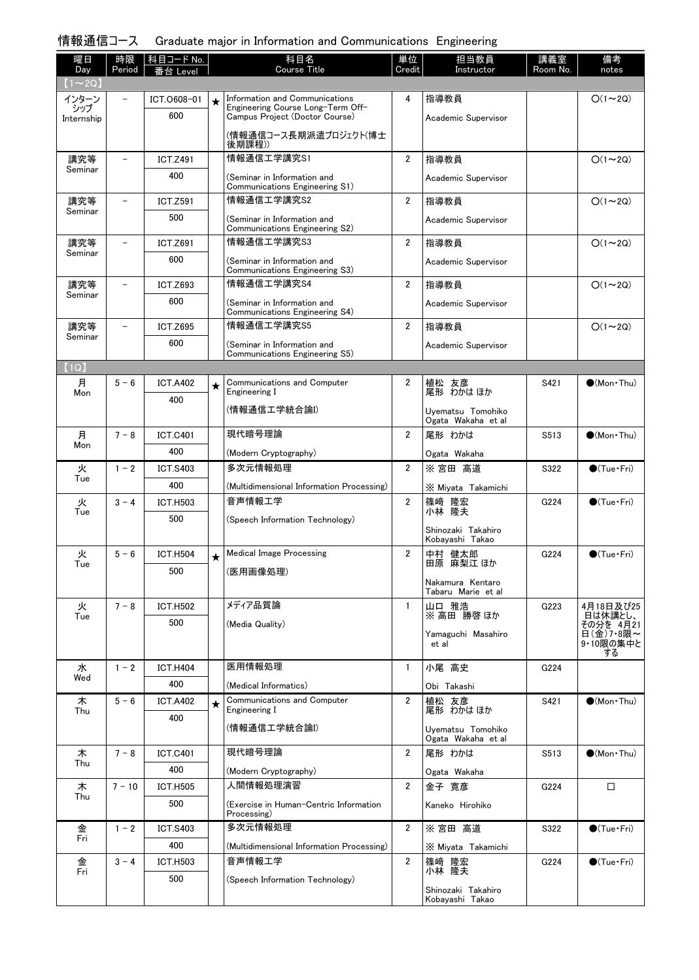# 情報通信コース Graduate major in Information and Communications Engineering

| 曜日<br>Day         | 時限<br>Period             | 科目コード No.       |         | 科目名<br>Course Title                                                 | 単位<br>Credit   | 担当教員<br>Instructor                      | 講義室<br>Room No.  | 備考<br>notes                       |
|-------------------|--------------------------|-----------------|---------|---------------------------------------------------------------------|----------------|-----------------------------------------|------------------|-----------------------------------|
| $(1\sim 2Q)$      |                          | 台 Level         |         |                                                                     |                |                                         |                  |                                   |
| インターン             |                          | ICT.0608-01     | $\star$ | Information and Communications                                      | 4              | 指導教員                                    |                  | $O(1\sim 2Q)$                     |
| シップ<br>Internship |                          | 600             |         | Engineering Course Long-Term Off-<br>Campus Project (Doctor Course) |                | Academic Supervisor                     |                  |                                   |
|                   |                          |                 |         | (情報通信コース長期派遣プロジェクト(博士<br>後期課程))                                     |                |                                         |                  |                                   |
| 講究等               | $\overline{\phantom{0}}$ | <b>ICT.Z491</b> |         | 情報通信工学講究S1                                                          | $\overline{2}$ | 指導教員                                    |                  | $O(1\sim 2Q)$                     |
| Seminar           |                          | 400             |         | (Seminar in Information and                                         |                | Academic Supervisor                     |                  |                                   |
|                   |                          |                 |         | Communications Engineering S1)                                      |                |                                         |                  |                                   |
| 講究等<br>Seminar    | $\overline{\phantom{0}}$ | <b>ICT.Z591</b> |         | 情報通信工学講究S2                                                          | $\overline{2}$ | 指導教員                                    |                  | $O(1\sim 2Q)$                     |
|                   |                          | 500             |         | (Seminar in Information and<br>Communications Engineering S2)       |                | Academic Supervisor                     |                  |                                   |
| 講究等<br>Seminar    | $\overline{\phantom{0}}$ | <b>ICT.Z691</b> |         | 情報通信工学講究S3                                                          | $\overline{2}$ | 指導教員                                    |                  | $O(1\sim 2Q)$                     |
|                   |                          | 600             |         | (Seminar in Information and<br>Communications Engineering S3)       |                | Academic Supervisor                     |                  |                                   |
| 講究等               | $\overline{\phantom{0}}$ | <b>ICT.Z693</b> |         | 情報通信工学講究S4                                                          | $\overline{2}$ | 指導教員                                    |                  | $O(1\sim 2Q)$                     |
| Seminar           |                          | 600             |         | (Seminar in Information and<br>Communications Engineering S4)       |                | Academic Supervisor                     |                  |                                   |
| 講究等               | $\qquad \qquad -$        | <b>ICT.Z695</b> |         | 情報通信工学講究S5                                                          | $\overline{2}$ | 指導教員                                    |                  | $O(1\sim 2Q)$                     |
| Seminar           |                          | 600             |         | (Seminar in Information and                                         |                | Academic Supervisor                     |                  |                                   |
| (1Q)              |                          |                 |         | Communications Engineering S5)                                      |                |                                         |                  |                                   |
| 月                 | $5 - 6$                  | <b>ICT.A402</b> | ★       | Communications and Computer                                         | $\overline{2}$ |                                         | S421             | $\bullet$ (Mon Thu)               |
| Mon               |                          | 400             |         | Engineering I                                                       |                | 植松 友彦<br>尾形 わかはほか                       |                  |                                   |
|                   |                          |                 |         | (情報通信工学統合論I)                                                        |                | Uyematsu Tomohiko<br>Ogata Wakaha et al |                  |                                   |
| 月                 | $7 - 8$                  | <b>ICT.C401</b> |         | 現代暗号理論                                                              | $\overline{2}$ | 尾形 わかは                                  | S513             | $\bullet$ (Mon Thu)               |
| Mon               |                          | 400             |         | (Modern Cryptography)                                               |                | Ogata Wakaha                            |                  |                                   |
| 火                 | $1 - 2$                  | <b>ICT.S403</b> |         | 多次元情報処理                                                             | $\overline{2}$ | ※宮田 高道                                  | S322             | $\bigcirc$ (Tue · Fri)            |
| Tue               |                          | 400             |         | (Multidimensional Information Processing)                           |                | X Miyata Takamichi                      |                  |                                   |
| 火                 | $3 - 4$                  | <b>ICT.H503</b> |         | 音声情報工学                                                              | $\overline{2}$ | 篠﨑<br>篠﨑 隆宏<br>小林 隆夫                    | G224             | $\bigcirc$ (Tue · Fri)            |
| Tue               |                          | 500             |         | (Speech Information Technology)                                     |                |                                         |                  |                                   |
|                   |                          |                 |         |                                                                     |                | Shinozaki Takahiro<br>Kobayashi Takao   |                  |                                   |
| 火                 | $5 - 6$                  | <b>ICT.H504</b> | $\star$ | <b>Medical Image Processing</b>                                     | $\overline{2}$ | 中村 健太郎                                  | G <sub>224</sub> | $\bigcirc$ (Tue · Fri)            |
| Tue               |                          | 500             |         | (医用画像処理)                                                            |                | 田原 麻梨江 ほか                               |                  |                                   |
|                   |                          |                 |         |                                                                     |                | Nakamura Kentaro<br>Tabaru Marie et al  |                  |                                   |
| 火                 | $7 - 8$                  | <b>ICT.H502</b> |         | メディア品質論                                                             | $\mathbf{1}$   | 山口 雅浩                                   | G223             | 4月18日及び25                         |
| Tue               |                          | 500             |         | (Media Quality)                                                     |                | ※ 高田 勝啓 ほか                              |                  | 日は休講とし、<br>その分を 4月21<br>日(金)7・8限~ |
|                   |                          |                 |         |                                                                     |                | Yamaguchi Masahiro<br>et al             |                  | 9・10限の集中と<br>する                   |
| 水                 | $1 - 2$                  | <b>ICT.H404</b> |         | 医用情報処理                                                              | $\mathbf{1}$   | 小尾 高史                                   | G224             |                                   |
| Wed               |                          | 400             |         | (Medical Informatics)                                               |                | Obi Takashi                             |                  |                                   |
| 木                 | $5 - 6$                  | <b>ICT.A402</b> | ★       | Communications and Computer                                         | $\overline{2}$ | 植松 友彦                                   | S421             | $\bigcirc$ (Mon Thu)              |
| Thu               |                          | 400             |         | Engineering I                                                       |                | 尾形 わかは ほか                               |                  |                                   |
|                   |                          |                 |         | (情報通信工学統合論I)                                                        |                | Uyematsu Tomohiko<br>Ogata Wakaha et al |                  |                                   |
| 木<br>Thu          | $7 - 8$                  | <b>ICT.C401</b> |         | 現代暗号理論                                                              | $\overline{2}$ | 尾形 わかは                                  | S513             | $\bullet$ (Mon Thu)               |
|                   |                          | 400             |         | (Modern Cryptography)                                               |                | Ogata Wakaha                            |                  |                                   |
| 木<br>Thu          | $7 - 10$                 | <b>ICT.H505</b> |         | 人間情報処理演習                                                            | $\overline{2}$ | 金子 寛彦                                   | G224             | □                                 |
|                   |                          | 500             |         | (Exercise in Human-Centric Information<br>Processing)               |                | Kaneko Hirohiko                         |                  |                                   |
| 金<br>Fri          | $1 - 2$                  | <b>ICT.S403</b> |         | 多次元情報処理                                                             | $\overline{2}$ | ※ 宮田 高道                                 | S322             | $\bigcirc$ (Tue · Fri)            |
|                   |                          | 400             |         | (Multidimensional Information Processing)                           |                | X Miyata Takamichi                      |                  |                                   |
| 金<br>Fri          | $3 - 4$                  | <b>ICT.H503</b> |         | 音声情報工学                                                              | $\overline{2}$ | 篠﨑 隆宏<br>小林 隆夫                          | G224             | $\bullet$ (Tue · Fri)             |
|                   |                          | 500             |         | (Speech Information Technology)                                     |                | Shinozaki Takahiro<br>Kobayashi Takao   |                  |                                   |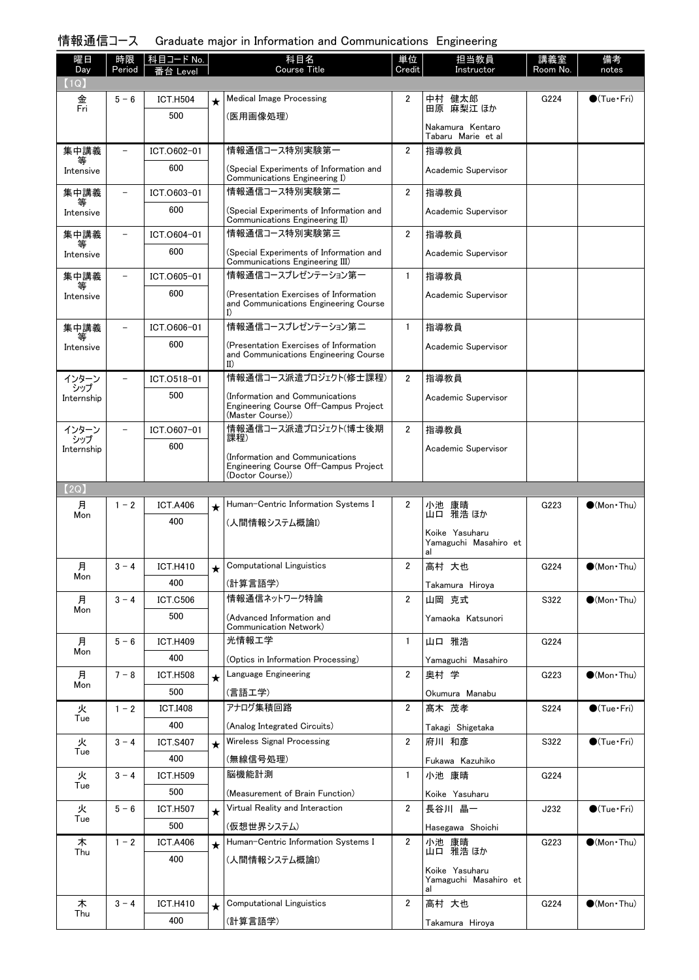## 情報通信コース Graduate major in Information and Communications Engineering

| 曜日                | 時限      | コード No.<br>科目   |            | 科目名                                                                             | 単位             | 担当教員                                    | 講義室              | 備考                     |
|-------------------|---------|-----------------|------------|---------------------------------------------------------------------------------|----------------|-----------------------------------------|------------------|------------------------|
| Day<br>(1Q)       | Period  | evel            |            | <b>Course Title</b>                                                             | Credit         | Instructor                              | Room No.         | notes                  |
| 金                 | $5 - 6$ | <b>ICT.H504</b> | $\star$    | <b>Medical Image Processing</b>                                                 | $\overline{2}$ |                                         | G <sub>224</sub> | $\bullet$ (Tue•Fri)    |
| Fri               |         | 500             |            | (医用画像処理)                                                                        |                | 中村 健太郎<br>田原 麻梨江 ほか                     |                  |                        |
|                   |         |                 |            |                                                                                 |                | Nakamura Kentaro                        |                  |                        |
| 集中講義              |         | ICT.0602-01     |            | 情報通信コース特別実験第一                                                                   | $\overline{2}$ | Tabaru Marie et al<br>指導教員              |                  |                        |
|                   |         | 600             |            |                                                                                 |                |                                         |                  |                        |
| Intensive         |         |                 |            | (Special Experiments of Information and<br>Communications Engineering I)        |                | Academic Supervisor                     |                  |                        |
| 集中講義              |         | ICT.0603-01     |            | 情報通信コース特別実験第二                                                                   | $\overline{2}$ | 指導教員                                    |                  |                        |
| Intensive         |         | 600             |            | (Special Experiments of Information and                                         |                | Academic Supervisor                     |                  |                        |
| 集中講義              |         | ICT.0604-01     |            | Communications Engineering II)<br>情報通信コース特別実験第三                                 | $\overline{2}$ | 指導教員                                    |                  |                        |
| 等                 |         | 600             |            | (Special Experiments of Information and                                         |                |                                         |                  |                        |
| Intensive         |         |                 |            | Communications Engineering III)                                                 |                | Academic Supervisor                     |                  |                        |
| 集中講義<br>等         |         | ICT.0605-01     |            | 情報通信コースプレゼンテーション第一                                                              | $\mathbf{1}$   | 指導教員                                    |                  |                        |
| Intensive         |         | 600             |            | (Presentation Exercises of Information<br>and Communications Engineering Course |                | Academic Supervisor                     |                  |                        |
|                   |         |                 |            | I)                                                                              |                |                                         |                  |                        |
| 集中講義<br>等         |         | ICT.0606-01     |            | 情報通信コースプレゼンテーション第二                                                              | $\mathbf{1}$   | 指導教員                                    |                  |                        |
| Intensive         |         | 600             |            | (Presentation Exercises of Information                                          |                | Academic Supervisor                     |                  |                        |
|                   |         |                 |            | and Communications Engineering Course<br>II)                                    |                |                                         |                  |                        |
| インターン<br>シップ      |         | ICT.0518-01     |            | 情報通信コース派遣プロジェクト(修士課程)                                                           | $\overline{2}$ | 指導教員                                    |                  |                        |
| Internship        |         | 500             |            | (Information and Communications                                                 |                | Academic Supervisor                     |                  |                        |
|                   |         |                 |            | Engineering Course Off-Campus Project<br>(Master Course))                       |                |                                         |                  |                        |
| インターン             |         | ICT.0607-01     |            | 情報通信コース派遣プロジェクト(博士後期<br>課程)                                                     | $\overline{2}$ | 指導教員                                    |                  |                        |
| シップ<br>Internship |         | 600             |            |                                                                                 |                | Academic Supervisor                     |                  |                        |
|                   |         |                 |            | (Information and Communications<br>Engineering Course Off-Campus Project        |                |                                         |                  |                        |
| (2Q)              |         |                 |            | (Doctor Course))                                                                |                |                                         |                  |                        |
| 月                 | $1 - 2$ | <b>ICT.A406</b> | $\star$    | Human-Centric Information Systems I                                             | 2              |                                         | G223             | $\bigcirc$ (Mon Thu)   |
| Mon               |         | 400             |            | (人間情報システム概論I)                                                                   |                | 小池 康晴<br>山口 雅浩ほか                        |                  |                        |
|                   |         |                 |            |                                                                                 |                | Koike Yasuharu                          |                  |                        |
|                   |         |                 |            |                                                                                 |                | Yamaguchi Masahiro et<br>al             |                  |                        |
| 月                 | $3 - 4$ | <b>ICT.H410</b> | ╈          | <b>Computational Linguistics</b>                                                | $\overline{2}$ | 高村 大也                                   | G224             | $\bigcirc$ (Mon Thu)   |
| Mon               |         | 400             |            | (計算言語学)                                                                         |                | Takamura Hiroya                         |                  |                        |
| 月                 | $3 - 4$ | <b>ICT.C506</b> |            | 情報通信ネットワーク特論                                                                    | $\overline{2}$ | 山岡 克式                                   | S322             | $\bullet$ (Mon Thu)    |
| Mon               |         | 500             |            | (Advanced Information and                                                       |                | Yamaoka Katsunori                       |                  |                        |
| 月                 | $5 - 6$ | <b>ICT.H409</b> |            | Communication Network)<br>光情報工学                                                 | $\mathbf{1}$   | 山口 雅浩                                   | G224             |                        |
| Mon               |         | 400             |            | (Optics in Information Processing)                                              |                |                                         |                  |                        |
| 月                 | $7 - 8$ | <b>ICT.H508</b> | $\star$    | Language Engineering                                                            | $\overline{2}$ | Yamaguchi Masahiro<br>奥村 学              | G223             | $\bullet$ (Mon Thu)    |
| Mon               |         | 500             |            | (言語工学)                                                                          |                | Okumura Manabu                          |                  |                        |
| 火                 | $1 - 2$ | <b>ICT.I408</b> |            | アナログ集積回路                                                                        | $\overline{2}$ | 髙木 茂孝                                   | S224             | $\bullet$ (Tue · Fri)  |
| Tue               |         | 400             |            | (Analog Integrated Circuits)                                                    |                | Takagi Shigetaka                        |                  |                        |
| 火                 | $3 - 4$ | <b>ICT.S407</b> | $\star$    | Wireless Signal Processing                                                      | $\overline{2}$ | 府川 和彦                                   | S322             | $\bigcirc$ (Tue · Fri) |
| Tue               |         | 400             |            | (無線信号処理)                                                                        |                | Fukawa Kazuhiko                         |                  |                        |
| 火                 | $3 - 4$ | <b>ICT.H509</b> |            | 脳機能計測                                                                           | $\mathbf{1}$   | 小池 康晴                                   | G224             |                        |
| Tue               |         | 500             |            | (Measurement of Brain Function)                                                 |                | Koike Yasuharu                          |                  |                        |
| 火                 | $5 - 6$ | <b>ICT.H507</b> | $\star$    | Virtual Reality and Interaction                                                 | $\overline{2}$ | 長谷川 晶一                                  | J232             | $\bigcirc$ (Tue•Fri)   |
| Tue               |         | 500             |            | (仮想世界システム)                                                                      |                | Hasegawa Shoichi                        |                  |                        |
| 木                 | $1 - 2$ | <b>ICT.A406</b> | $\star$    | Human-Centric Information Systems I                                             | $\overline{2}$ | 小池 康晴                                   | G223             | $\bullet$ (Mon Thu)    |
| Thu               |         | 400             |            | (人間情報システム概論I)                                                                   |                | 山口 雅浩 ほか                                |                  |                        |
|                   |         |                 |            |                                                                                 |                | Koike Yasuharu<br>Yamaguchi Masahiro et |                  |                        |
|                   |         |                 |            |                                                                                 |                | al                                      |                  |                        |
| 木<br>Thu          | $3 - 4$ | <b>ICT.H410</b> | $\bigstar$ | <b>Computational Linguistics</b>                                                | $\overline{2}$ | 高村 大也                                   | G224             | $\bullet$ (Mon Thu)    |
|                   |         | 400             |            | (計算言語学)                                                                         |                | Takamura Hiroya                         |                  |                        |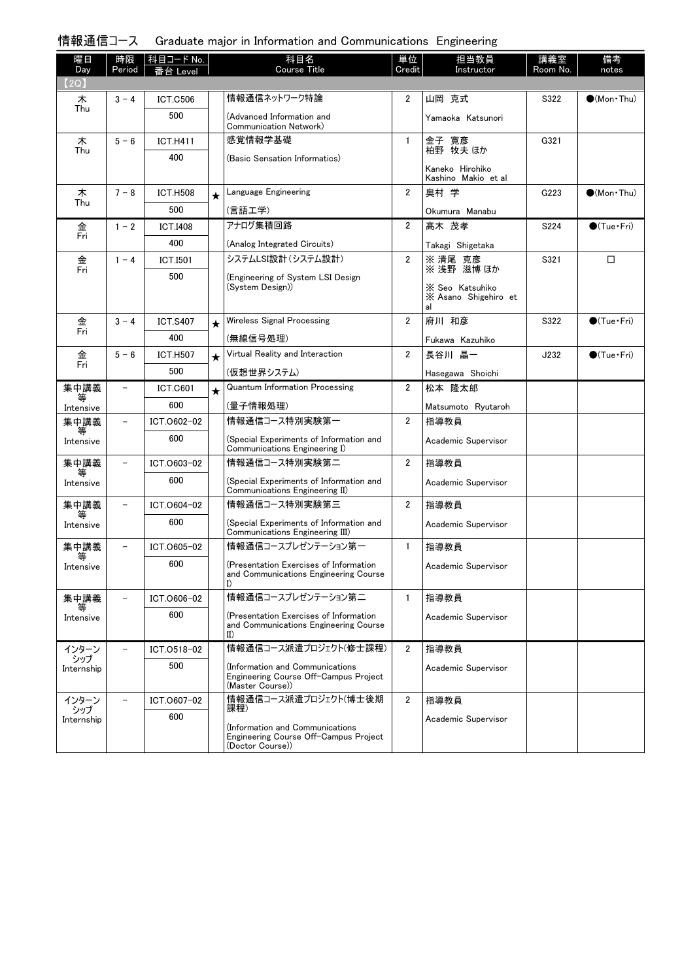| . Graduate major in Information and Communications Engineering | 情報通信コース |  |  |  |  |  |  |
|----------------------------------------------------------------|---------|--|--|--|--|--|--|
|----------------------------------------------------------------|---------|--|--|--|--|--|--|

| 曜日<br>Day         | 時限<br>Period             | │科目コード No.<br>≸台 Level |         | 科目名<br><b>Course Title</b>                                                                     | 単位<br>Credit   | 担当教員<br>Instructor                            | 講義室<br>Room No. | 備考<br>notes                 |
|-------------------|--------------------------|------------------------|---------|------------------------------------------------------------------------------------------------|----------------|-----------------------------------------------|-----------------|-----------------------------|
| (2Q)              |                          |                        |         | 情報通信ネットワーク特論                                                                                   |                |                                               |                 |                             |
| 木<br>Thu          | $3 - 4$                  | <b>ICT.C506</b>        |         |                                                                                                | 2              | 山岡 克式                                         | S322            | $\bullet$ (Mon · Thu)       |
|                   |                          | 500                    |         | (Advanced Information and<br>Communication Network)                                            |                | Yamaoka Katsunori                             |                 |                             |
| 木                 | $5 - 6$                  | <b>ICT.H411</b>        |         | 感覚情報学基礎                                                                                        | $\mathbf{1}$   | 金子 寛彦<br>柏野 牧夫 ほか                             | G321            |                             |
| Thu               |                          | 400                    |         | (Basic Sensation Informatics)                                                                  |                |                                               |                 |                             |
|                   |                          |                        |         |                                                                                                |                | Kaneko Hirohiko<br>Kashino Makio et al        |                 |                             |
| 木                 | $7 - 8$                  | <b>ICT.H508</b>        | $\star$ | Language Engineering                                                                           | $\overline{2}$ | 奥村 学                                          | G223            | $(Mon\cdot Thu)$            |
| Thu               |                          | 500                    |         | (言語工学)                                                                                         |                | Okumura Manabu                                |                 |                             |
| 金                 | $1 - 2$                  | <b>ICT.I408</b>        |         | アナログ集積回路                                                                                       | $\overline{2}$ | 髙木 茂孝                                         | S224            | $\bigcirc$ (Tue · Fri)      |
| Fri               |                          | 400                    |         | (Analog Integrated Circuits)                                                                   |                | Takagi Shigetaka                              |                 |                             |
| 金                 | $1 - 4$                  | ICT.I501               |         | システムLSI設計(システム設計)                                                                              | $\overline{2}$ | ※ 清尾 克彦                                       | S321            | $\Box$                      |
| Fri               |                          | 500                    |         | (Engineering of System LSI Design                                                              |                | ※ 浅野 滋博 ほか                                    |                 |                             |
|                   |                          |                        |         | (System Design))                                                                               |                | X Seo Katsuhiko<br>X Asano Shigehiro et<br>al |                 |                             |
| 金                 | $3 - 4$                  | <b>ICT.S407</b>        | $\star$ | Wireless Signal Processing                                                                     | $\overline{2}$ | 府川 和彦                                         | S322            | $\bigcirc$ (Tue · Fri)      |
| Fri               |                          | 400                    |         | (無線信号処理)                                                                                       |                | Fukawa Kazuhiko                               |                 |                             |
| 金                 | $5 - 6$                  | <b>ICT.H507</b>        | $\star$ | Virtual Reality and Interaction                                                                | $\overline{2}$ | 長谷川 晶一                                        | J232            | $\bullet$ (Tue $\cdot$ Fri) |
| Fri               |                          | 500                    |         | (仮想世界システム)                                                                                     |                | Hasegawa Shoichi                              |                 |                             |
| 集中講義              | $\qquad \qquad -$        | <b>ICT.C601</b>        | $\star$ | <b>Quantum Information Processing</b>                                                          | $\overline{2}$ | 松本 降太郎                                        |                 |                             |
| 等<br>Intensive    |                          | 600                    |         | (量子情報処理)                                                                                       |                | Matsumoto Ryutaroh                            |                 |                             |
| 集中講義              | $\overline{\phantom{a}}$ | ICT.0602-02            |         | 情報通信コース特別実験第一                                                                                  | $\overline{2}$ | 指導教員                                          |                 |                             |
| 等<br>Intensive    |                          | 600                    |         | (Special Experiments of Information and<br>Communications Engineering I)                       |                | Academic Supervisor                           |                 |                             |
| 集中講義              | $\qquad \qquad -$        | ICT.0603-02            |         | 情報通信コース特別実験第二                                                                                  | $\overline{2}$ | 指導教員                                          |                 |                             |
| 等<br>Intensive    |                          | 600                    |         | (Special Experiments of Information and<br>Communications Engineering II)                      |                | Academic Supervisor                           |                 |                             |
| 集中講義              | $\qquad \qquad -$        | ICT.0604-02            |         | 情報通信コース特別実験第三                                                                                  | $\overline{2}$ | 指導教員                                          |                 |                             |
| 等<br>Intensive    |                          | 600                    |         | (Special Experiments of Information and<br>Communications Engineering III)                     |                | Academic Supervisor                           |                 |                             |
| 集中講義              | $\overline{\phantom{0}}$ | ICT.0605-02            |         | 情報通信コースプレゼンテーション第一                                                                             | $\mathbf{1}$   | 指導教員                                          |                 |                             |
| 等<br>Intensive    |                          | 600                    |         | (Presentation Exercises of Information<br>and Communications Engineering Course<br>I)          |                | Academic Supervisor                           |                 |                             |
| 集中講義              | $\qquad \qquad -$        | ICT.0606-02            |         | 情報通信コースプレゼンテーション第二                                                                             | $\mathbf{1}$   | 指導教員                                          |                 |                             |
| Intensive         |                          | 600                    |         | (Presentation Exercises of Information<br>and Communications Engineering Course<br>$_{\rm II}$ |                | Academic Supervisor                           |                 |                             |
| インターン             |                          | ICT.0518-02            |         | 情報通信コース派遣プロジェクト(修士課程)                                                                          | $\overline{2}$ | 指導教員                                          |                 |                             |
| シップ<br>Internship |                          | 500                    |         | (Information and Communications<br>Engineering Course Off-Campus Project<br>(Master Course))   |                | Academic Supervisor                           |                 |                             |
| インターン             |                          | ICT.0607-02            |         | 情報通信コース派遣プロジェクト(博士後期<br>課程)                                                                    | $\overline{2}$ | 指導教員                                          |                 |                             |
| シップ<br>Internship |                          | 600                    |         |                                                                                                |                | Academic Supervisor                           |                 |                             |
|                   |                          |                        |         | (Information and Communications<br>Engineering Course Off-Campus Project<br>(Doctor Course))   |                |                                               |                 |                             |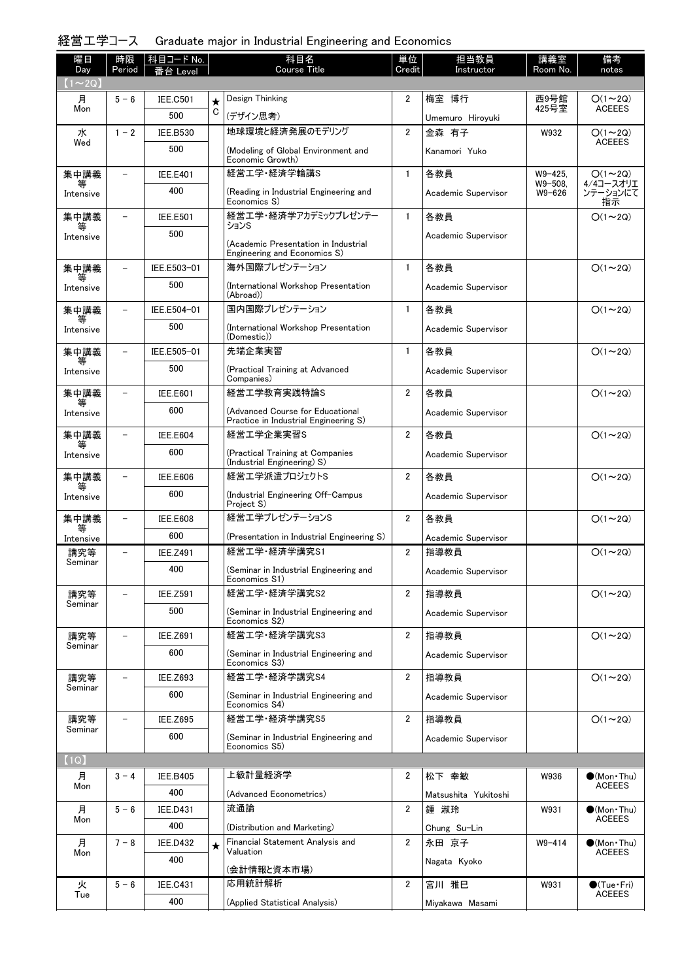## 経営工学コース Graduate major in Industrial Engineering and Economics

| 曜日<br>Day      | 時限<br>Period             | 科目コード No.              |         | 科目名<br><b>Course Title</b>                                                | 単位<br>Credit   | 担当教員<br>Instructor           | 講義室<br>Room No.           | 備考<br>notes                          |
|----------------|--------------------------|------------------------|---------|---------------------------------------------------------------------------|----------------|------------------------------|---------------------------|--------------------------------------|
| $(1\sim 2Q)$   |                          | i台 Level               |         |                                                                           |                |                              |                           |                                      |
| 月              | $5 - 6$                  | <b>IEE.C501</b>        | $\star$ | Design Thinking                                                           | 2              | 梅室 博行                        | 西9号館                      | $O(1\sim 2Q)$                        |
| Mon            |                          | 500                    | C       | (デザイン思考)                                                                  |                | Umemuro Hiroyuki             | 425号室                     | <b>ACEEES</b>                        |
| 水              | $1 - 2$                  | <b>IEE.B530</b>        |         | 地球環境と経済発展のモデリング                                                           | $\overline{2}$ | 金森 有子                        | W932                      | $O(1 - 2Q)$                          |
| Wed            |                          | 500                    |         | (Modeling of Global Environment and<br>Economic Growth)                   |                | Kanamori Yuko                |                           | <b>ACEEES</b>                        |
| 集中講義           | $\overline{\phantom{0}}$ | <b>IEE.E401</b>        |         | 経営工学·経済学輪講S                                                               | $\mathbf{1}$   | 各教員                          | $W9 - 425$ .              | $O(1 \sim 2Q)$<br>4/4コースオリエ          |
| 等<br>Intensive |                          | 400                    |         | (Reading in Industrial Engineering and<br>Economics S)                    |                | Academic Supervisor          | $W9 - 508.$<br>$W9 - 626$ | ンテーションにて<br>指示                       |
| 集中講義<br>等      | $\overline{\phantom{0}}$ | <b>IEE.E501</b>        |         | 経営工学・経済学アカデミックプレゼンテー<br>ションS                                              | $\mathbf{1}$   | 各教員                          |                           | $O(1\sim 2Q)$                        |
| Intensive      |                          | 500                    |         | (Academic Presentation in Industrial<br>Engineering and Economics S)      |                | Academic Supervisor          |                           |                                      |
| 集中講義           |                          | IEE.E503-01            |         | 海外国際プレゼンテーション                                                             | $\mathbf{1}$   | 各教員                          |                           | $O(1\sim 2Q)$                        |
| Intensive      |                          | 500                    |         | (International Workshop Presentation<br>(Abroad))                         |                | Academic Supervisor          |                           |                                      |
| 集中講義           |                          | IEE.E504-01            |         | 国内国際プレゼンテーション                                                             | $\mathbf{1}$   | 各教員                          |                           | $O(1\sim 2Q)$                        |
| Intensive      |                          | 500                    |         | (International Workshop Presentation<br>(Domestic))                       |                | Academic Supervisor          |                           |                                      |
| 集中講義           |                          | IEE.E505-01            |         | 先端企業実習                                                                    | $\mathbf{1}$   | 各教員                          |                           | $O(1\sim 2Q)$                        |
| Intensive      |                          | 500                    |         | (Practical Training at Advanced<br>Companies)                             |                | Academic Supervisor          |                           |                                      |
| 集中講義           |                          | <b>IEE.E601</b>        |         | 経営工学教育実践特論S                                                               | $\overline{2}$ | 各教員                          |                           | $O(1\sim 2Q)$                        |
| Intensive      |                          | 600                    |         | (Advanced Course for Educational<br>Practice in Industrial Engineering S) |                | Academic Supervisor          |                           |                                      |
| 集中講義           |                          | <b>IEE.E604</b>        |         | 経営工学企業実習S                                                                 | $\overline{2}$ | 各教員                          |                           | $O(1\sim 2Q)$                        |
| Intensive      |                          | 600                    |         | (Practical Training at Companies<br>(Industrial Engineering) S)           |                | Academic Supervisor          |                           |                                      |
| 集中講義           |                          | <b>IEE.E606</b>        |         | 経営エ学派遣プロジェクトS                                                             | $\overline{2}$ | 各教員                          |                           | $O(1\sim 2Q)$                        |
| Intensive      |                          | 600                    |         | (Industrial Engineering Off-Campus<br>Project S)                          |                | Academic Supervisor          |                           |                                      |
| 集中講義<br>等      | $\overline{a}$           | <b>IEE.E608</b>        |         | 経営工学プレゼンテーションS                                                            | $\overline{2}$ | 各教員                          |                           | $O(1\sim 2Q)$                        |
| Intensive      |                          | 600                    |         | (Presentation in Industrial Engineering S)                                |                | Academic Supervisor          |                           |                                      |
| 講究等<br>Seminar | $\overline{\phantom{0}}$ | <b>IEE.Z491</b>        |         | 経営工学·経済学講究S1                                                              | $\overline{2}$ | 指導教員                         |                           | $O(1\sim 2Q)$                        |
|                |                          | 400                    |         | (Seminar in Industrial Engineering and<br>Economics S1)                   |                | Academic Supervisor          |                           |                                      |
| 講究等<br>Seminar |                          | <b>IEE.Z591</b>        |         | 経営工学·経済学講究S2                                                              | $\overline{2}$ | 指導教員                         |                           | $O(1\sim 2Q)$                        |
|                |                          | 500                    |         | (Seminar in Industrial Engineering and<br>Economics S2)                   |                | Academic Supervisor          |                           |                                      |
| 講究等<br>Seminar | $\overline{\phantom{0}}$ | <b>IEE.Z691</b>        |         | 経営工学·経済学講究S3                                                              | $\overline{2}$ | 指導教員                         |                           | $O(1\sim 2Q)$                        |
|                |                          | 600                    |         | (Seminar in Industrial Engineering and<br>Economics S3)                   |                | Academic Supervisor          |                           |                                      |
| 講究等<br>Seminar | $\overline{\phantom{0}}$ | IEE.Z693               |         | 経営工学·経済学講究S4                                                              | $\overline{2}$ | 指導教員                         |                           | $O(1\sim 2Q)$                        |
|                |                          | 600                    |         | (Seminar in Industrial Engineering and<br>Economics S4)                   |                | Academic Supervisor          |                           |                                      |
| 講究等<br>Seminar | $\overline{\phantom{0}}$ | <b>IEE.Z695</b>        |         | 経営工学·経済学講究S5                                                              | $\overline{2}$ | 指導教員                         |                           | $O(1\sim 2Q)$                        |
|                |                          | 600                    |         | (Seminar in Industrial Engineering and<br>Economics S5)                   |                | Academic Supervisor          |                           |                                      |
| (1Q)           |                          |                        |         |                                                                           |                |                              |                           |                                      |
| 月<br>Mon       | $3 - 4$                  | <b>IEE.B405</b><br>400 |         | 上級計量経済学                                                                   | 2              | 松下 幸敏                        | W936                      | $\bullet$ (Mon Thu)<br><b>ACEEES</b> |
|                | $5 - 6$                  | <b>IEE.D431</b>        |         | (Advanced Econometrics)<br>流通論                                            | $\overline{2}$ | Matsushita Yukitoshi<br>鍾 淑玲 | W931                      | $\bullet$ (Mon Thu)                  |
| 月<br>Mon       |                          | 400                    |         |                                                                           |                |                              |                           | <b>ACEEES</b>                        |
| 月              | $7 - 8$                  | <b>IEE.D432</b>        |         | (Distribution and Marketing)<br>Financial Statement Analysis and          | $\overline{2}$ | Chung Su-Lin<br>永田 京子        | $W9 - 414$                | $\bullet$ (Mon•Thu)                  |
| Mon            |                          | 400                    | $\star$ | Valuation                                                                 |                | Nagata Kyoko                 |                           | <b>ACEEES</b>                        |
| 火              | $5 - 6$                  | <b>IEE.C431</b>        |         | (会計情報と資本市場)<br>応用統計解析                                                     | 2              | 宮川 雅巳                        | W931                      | $\bullet$ (Tue $\cdot$ Fri)          |
| Tue            |                          | 400                    |         | (Applied Statistical Analysis)                                            |                | Miyakawa Masami              |                           | <b>ACEEES</b>                        |
|                |                          |                        |         |                                                                           |                |                              |                           |                                      |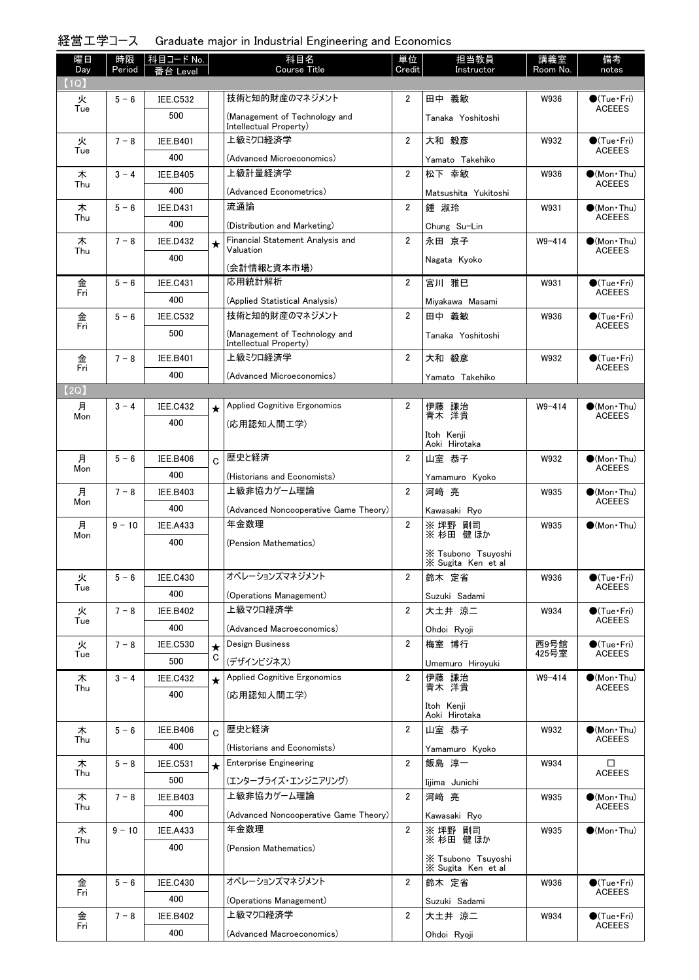# 経営工学コース Graduate major in Industrial Engineering and Economics

| 曜日<br>Day | 時限<br>Period | │科目コード No. │    |                | 科目名<br><b>Course Title</b>                              | 単位<br>Credit   | 担当教員<br>Instructor          | 講義室<br>Room No. | 備考<br>notes                            |
|-----------|--------------|-----------------|----------------|---------------------------------------------------------|----------------|-----------------------------|-----------------|----------------------------------------|
| (1Q)      |              | 番台 Level        |                |                                                         |                |                             |                 |                                        |
| 火         | $5 - 6$      | <b>IEE.C532</b> |                | 技術と知的財産のマネジメント                                          | 2              | 田中 義敏                       | W936            | $\bullet$ (Tue•Fri)                    |
| Tue       |              | 500             |                | (Management of Technology and<br>Intellectual Property) |                | Tanaka Yoshitoshi           |                 | <b>ACEEES</b>                          |
| 火         | $7 - 8$      | <b>IEE.B401</b> |                | 上級ミクロ経済学                                                | $\overline{2}$ | 大和 毅彦                       | W932            | $\bullet$ (Tue•Fri)                    |
| Tue       |              | 400             |                | (Advanced Microeconomics)                               |                | Yamato Takehiko             |                 | <b>ACEEES</b>                          |
| 木         | $3 - 4$      | <b>IEE.B405</b> |                | 上級計量経済学                                                 | $\overline{2}$ | 松下 幸敏                       | W936            | $\bullet$ (Mon Thu)                    |
| Thu       |              | 400             |                | (Advanced Econometrics)                                 |                | Matsushita Yukitoshi        |                 | <b>ACEEES</b>                          |
| 木         | $5 - 6$      | <b>IEE.D431</b> |                | 流通論                                                     | $\overline{2}$ | 鍾 淑玲                        | W931            | $\bullet$ (Mon Thu)                    |
| Thu       |              | 400             |                | (Distribution and Marketing)                            |                | Chung Su-Lin                |                 | <b>ACEEES</b>                          |
| 木         | $7 - 8$      | <b>IEE.D432</b> | $\star$        | Financial Statement Analysis and                        | $\overline{2}$ | 永田 京子                       | $W9 - 414$      | $\bullet$ (Mon Thu)                    |
| Thu       |              | 400             |                | Valuation<br>(会計情報と資本市場)                                |                | Nagata Kyoko                |                 | <b>ACEEES</b>                          |
| 金         | $5 - 6$      | <b>IEE.C431</b> |                | 応用統計解析                                                  | $\overline{2}$ | 宮川 雅巳                       | W931            | $\bigcirc$ (Tue · Fri)                 |
| Fri       |              | 400             |                | (Applied Statistical Analysis)                          |                | Mivakawa Masami             |                 | <b>ACEEES</b>                          |
| 金         | $5 - 6$      | <b>IEE.C532</b> |                | 技術と知的財産のマネジメント                                          | $\overline{2}$ | 田中 義敏                       | W936            | $\bullet$ (Tue•Fri)                    |
| Fri       |              | 500             |                | (Management of Technology and                           |                | Tanaka Yoshitoshi           |                 | <b>ACEEES</b>                          |
|           |              |                 |                | Intellectual Property)                                  |                |                             |                 |                                        |
| 金<br>Fri  | $7 - 8$      | <b>IEE.B401</b> |                | 上級ミクロ経済学                                                | $\overline{2}$ | 大和 毅彦                       | W932            | $\bullet$ (Tue•Fri)<br><b>ACEEES</b>   |
|           |              | 400             |                | (Advanced Microeconomics)                               |                | Yamato Takehiko             |                 |                                        |
| 【2Q)      |              |                 |                |                                                         |                |                             |                 |                                        |
| 月<br>Mon  | $3 - 4$      | <b>IEE.C432</b> | $\star$        | <b>Applied Cognitive Ergonomics</b>                     | $\overline{2}$ | 伊藤 謙治<br>青木 洋貴              | $W9 - 414$      | $\bullet$ (Mon · Thu)<br><b>ACEEES</b> |
|           |              | 400             |                | (応用認知人間工学)                                              |                | Itoh Kenji                  |                 |                                        |
|           |              |                 |                |                                                         |                | Aoki Hirotaka               |                 |                                        |
| 月<br>Mon  | $5 - 6$      | <b>IEE.B406</b> | $\overline{C}$ | 歴史と経済                                                   | $\overline{2}$ | 山室 恭子                       | W932            | $\bullet$ (Mon•Thu)<br><b>ACEEES</b>   |
|           |              | 400             |                | (Historians and Economists)                             |                | Yamamuro Kyoko              |                 |                                        |
| 月<br>Mon  | $7 - 8$      | <b>IEE.B403</b> |                | 上級非協力ゲーム理論                                              | $\overline{2}$ | 河崎 亮                        | W935            | $\bullet$ (Mon Thu)<br><b>ACEEES</b>   |
|           |              | 400             |                | (Advanced Noncooperative Game Theory)                   |                | Kawasaki Ryo                |                 |                                        |
| 月<br>Mon  | $9 - 10$     | <b>IEE.A433</b> |                | 年金数理                                                    | $\overline{2}$ | ※ 坪野 剛司<br>※ 杉田 健ほか         | W935            | $\bullet$ (Mon•Thu)                    |
|           |              | 400             |                | (Pension Mathematics)                                   |                | X Tsubono Tsuyoshi          |                 |                                        |
|           |              |                 |                |                                                         |                | X Sugita Ken et al          |                 |                                        |
| 火<br>Tue  | $5 - 6$      | <b>IEE.C430</b> |                | オペレーションズマネジメント                                          | 2              | 鈴木 定省                       | W936            | $\bullet$ (Tue · Fri)<br><b>ACEEES</b> |
|           |              | 400             |                | (Operations Management)                                 |                | Suzuki Sadami               |                 |                                        |
| 火<br>Tue  | $7 - 8$      | <b>IEE.B402</b> |                | 上級マクロ経済学                                                | $\overline{2}$ | 大土井 涼二                      | W934            | $\bullet$ (Tue•Fri)<br><b>ACEEES</b>   |
|           |              | 400             |                | (Advanced Macroeconomics)                               |                | Ohdoi Ryoji                 |                 |                                        |
| 火<br>Tue  | $7 - 8$      | <b>IEE.C530</b> | $\star$        | Design Business                                         | $\overline{2}$ | 梅室 博行                       | 西9号館<br>425号室   | $\bullet$ (Tue•Fri)<br><b>ACEEES</b>   |
|           |              | 500             | C              | (デザインビジネス)                                              |                | Umemuro Hiroyuki            |                 |                                        |
| 木<br>Thu  | $3 - 4$      | <b>IEE.C432</b> | $\star$        | <b>Applied Cognitive Ergonomics</b>                     | $\overline{2}$ | 伊藤 謙治<br>青木 洋貴              | $W9 - 414$      | $\bullet$ (Mon Thu)<br><b>ACEEES</b>   |
|           |              | 400             |                | (応用認知人間工学)                                              |                |                             |                 |                                        |
|           |              |                 |                |                                                         |                | Itoh Kenji<br>Aoki Hirotaka |                 |                                        |
| 木<br>Thu  | $5 - 6$      | <b>IEE.B406</b> | C              | 歴史と経済                                                   | $\overline{2}$ | 山室 恭子                       | W932            | $\bullet$ (Mon Thu)<br><b>ACEEES</b>   |
|           |              | 400             |                | (Historians and Economists)                             |                | Yamamuro Kyoko              |                 |                                        |
| 木<br>Thu  | $5 - 8$      | <b>IEE.C531</b> | $\star$        | <b>Enterprise Engineering</b>                           | $\overline{2}$ | 飯島 淳一                       | W934            | □<br>ACEEES                            |
|           |              | 500             |                | (エンタープライズ・エンジニアリング)                                     |                | Iijima Junichi              |                 |                                        |
| 木<br>Thu  | $7 - 8$      | <b>IEE.B403</b> |                | 上級非協力ゲーム理論                                              | $\overline{2}$ | 河崎 亮                        | W935            | $(Mon\cdot Thu)$<br><b>ACEEES</b>      |
|           |              | 400             |                | (Advanced Noncooperative Game Theory)                   |                | Kawasaki Ryo                |                 |                                        |
| 木<br>Thu  | $9 - 10$     | <b>IEE.A433</b> |                | 年金数理                                                    | $\overline{2}$ | ※ 坪野 剛司<br>※杉田健ほか           | W935            | $\bullet$ (Mon Thu)                    |
|           |              | 400             |                | (Pension Mathematics)                                   |                | X Tsubono Tsuyoshi          |                 |                                        |
|           |              |                 |                |                                                         |                | X Sugita Ken et al          |                 |                                        |
| 金<br>Fri  | $5 - 6$      | <b>IEE.C430</b> |                | オペレーションズマネジメント                                          | 2              | 鈴木 定省                       | W936            | $\bullet$ (Tue · Fri)<br><b>ACEEES</b> |
|           |              | 400             |                | (Operations Management)                                 |                | Suzuki Sadami               |                 |                                        |
| 金<br>Fri  | $7 - 8$      | <b>IEE.B402</b> |                | 上級マクロ経済学                                                | $\overline{2}$ | 大土井 涼二                      | W934            | $\bullet$ (Tue · Fri)<br><b>ACEEES</b> |
|           |              | 400             |                | (Advanced Macroeconomics)                               |                | Ohdoi Ryoji                 |                 |                                        |